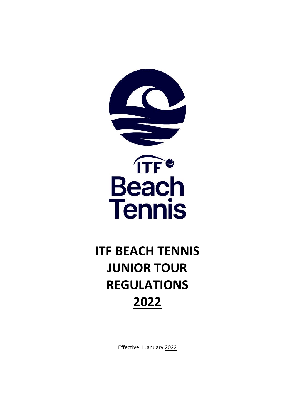

# **ITF BEACH TENNIS JUNIOR TOUR REGULATIONS 2022**

Effective 1 January 2022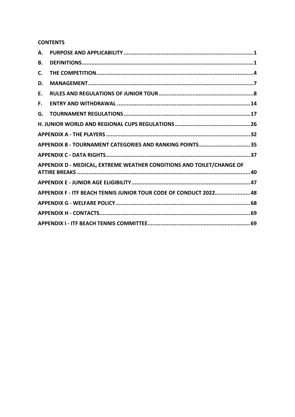# **CONTENTS**

| А. |                                                                       |
|----|-----------------------------------------------------------------------|
| В. |                                                                       |
| C. |                                                                       |
| D. |                                                                       |
| Е. |                                                                       |
| F. |                                                                       |
| G. |                                                                       |
|    |                                                                       |
|    |                                                                       |
|    | APPENDIX B - TOURNAMENT CATEGORIES AND RANKING POINTS35               |
|    |                                                                       |
|    | APPENDIX D - MEDICAL, EXTREME WEATHER CONDITIONS AND TOILET/CHANGE OF |
|    |                                                                       |
|    | APPENDIX F - ITF BEACH TENNIS JUNIOR TOUR CODE OF CONDUCT 202248      |
|    |                                                                       |
|    |                                                                       |
|    |                                                                       |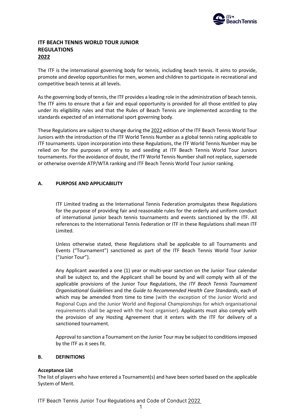

# **ITF BEACH TENNIS WORLD TOUR JUNIOR REGULATIONS 2022**

The ITF is the international governing body for tennis, including beach tennis. It aims to provide, promote and develop opportunities for men, women and children to participate in recreational and competitive beach tennis at all levels.

As the governing body of tennis, the ITF provides a leading role in the administration of beach tennis. The ITF aims to ensure that a fair and equal opportunity is provided for all those entitled to play under its eligibility rules and that the Rules of Beach Tennis are implemented according to the standards expected of an international sport governing body.

These Regulations are subject to change during the 2022 edition of the ITF Beach Tennis World Tour Juniors with the introduction of the ITF World Tennis Number as a global tennis rating applicable to ITF tournaments. Upon incorporation into these Regulations, the ITF World Tennis Number may be relied on for the purposes of entry to and seeding at ITF Beach Tennis World Tour Juniors tournaments. For the avoidance of doubt, the ITF World Tennis Number shall not replace, supersede or otherwise override ATP/WTA ranking and ITF Beach Tennis World Tour Junior ranking.

# <span id="page-2-0"></span>**A. PURPOSE AND APPLICABILITY**

ITF Limited trading as the International Tennis Federation promulgates these Regulations for the purpose of providing fair and reasonable rules for the orderly and uniform conduct of international junior beach tennis tournaments and events sanctioned by the ITF. All references to the International Tennis Federation or ITF in these Regulations shall mean ITF Limited.

Unless otherwise stated, these Regulations shall be applicable to all Tournaments and Events ("Tournament") sanctioned as part of the ITF Beach Tennis World Tour Junior ("Junior Tour").

Any Applicant awarded a one (1) year or multi-year sanction on the Junior Tour calendar shall be subject to, and the Applicant shall be bound by and will comply with all of the applicable provisions of the Junior Tour Regulations, the *ITF Beach Tennis Tournament Organisational Guidelines* and the *Guide to Recommended Health Care Standards*, each of which may be amended from time to time (with the exception of the Junior World and Regional Cups and the Junior World and Regional Championships for which organisational requirements shall be agreed with the host organiser). Applicants must also comply with the provision of any Hosting Agreement that it enters with the ITF for delivery of a sanctioned tournament.

Approval to sanction a Tournament on the Junior Tour may be subject to conditions imposed by the ITF as it sees fit.

# <span id="page-2-1"></span>**B. DEFINITIONS**

# **Acceptance List**

The list of players who have entered a Tournament(s) and have been sorted based on the applicable System of Merit.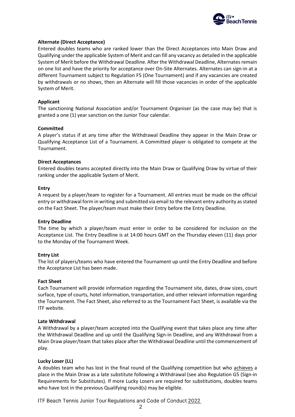

#### **Alternate (Direct Acceptance)**

Entered doubles teams who are ranked lower than the Direct Acceptances into Main Draw and Qualifying under the applicable System of Merit and can fill any vacancy as detailed in the applicable System of Merit before the Withdrawal Deadline. After the Withdrawal Deadline, Alternates remain on one list and have the priority for acceptance over On-Site Alternates. Alternates can sign-in at a different Tournament subject to Regulation F5 (One Tournament) and if any vacancies are created by withdrawals or no shows, then an Alternate will fill those vacancies in order of the applicable System of Merit.

#### **Applicant**

The sanctioning National Association and/or Tournament Organiser (as the case may be) that is granted a one (1) year sanction on the Junior Tour calendar.

#### **Committed**

A player's status if at any time after the Withdrawal Deadline they appear in the Main Draw or Qualifying Acceptance List of a Tournament. A Committed player is obligated to compete at the Tournament.

#### **Direct Acceptances**

Entered doubles teams accepted directly into the Main Draw or Qualifying Draw by virtue of their ranking under the applicable System of Merit.

#### **Entry**

A request by a player/team to register for a Tournament. All entries must be made on the official entry or withdrawal form in writing and submitted via email to the relevant entry authority as stated on the Fact Sheet. The player/team must make their Entry before the Entry Deadline.

#### **Entry Deadline**

The time by which a player/team must enter in order to be considered for inclusion on the Acceptance List. The Entry Deadline is at 14:00 hours GMT on the Thursday eleven (11) days prior to the Monday of the Tournament Week.

#### **Entry List**

The list of players/teams who have entered the Tournament up until the Entry Deadline and before the Acceptance List has been made.

#### **Fact Sheet**

Each Tournament will provide information regarding the Tournament site, dates, draw sizes, court surface, type of courts, hotel information, transportation, and other relevant information regarding the Tournament. The Fact Sheet, also referred to as the Tournament Fact Sheet, is available via the ITF website.

# **Late Withdrawal**

A Withdrawal by a player/team accepted into the Qualifying event that takes place any time after the Withdrawal Deadline and up until the Qualifying Sign-in Deadline, and any Withdrawal from a Main Draw player/team that takes place after the Withdrawal Deadline until the commencement of play.

# **Lucky Loser (LL)**

A doubles team who has lost in the final round of the Qualifying competition but who achieves a place in the Main Draw as a late substitute following a Withdrawal (see also Regulation G5 (Sign-in Requirements for Substitutes). If more Lucky Losers are required for substitutions, doubles teams who have lost in the previous Qualifying round(s) may be eligible.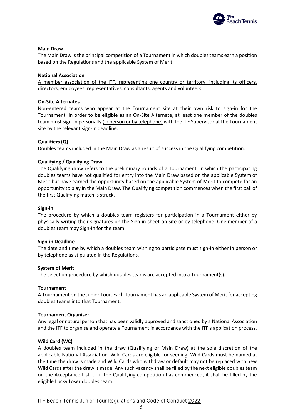

#### **Main Draw**

The Main Draw is the principal competition of a Tournament in which doubles teams earn a position based on the Regulations and the applicable System of Merit.

#### **National Association**

A member association of the ITF, representing one country or territory, including its officers, directors, employees, representatives, consultants, agents and volunteers.

#### **On-Site Alternates**

Non-entered teams who appear at the Tournament site at their own risk to sign-in for the Tournament. In order to be eligible as an On-Site Alternate, at least one member of the doubles team must sign-in personally (in person or by telephone) with the ITF Supervisor at the Tournament site by the relevant sign-in deadline.

#### **Qualifiers (Q)**

Doubles teams included in the Main Draw as a result of success in the Qualifying competition.

#### **Qualifying / Qualifying Draw**

The Qualifying draw refers to the preliminary rounds of a Tournament, in which the participating doubles teams have not qualified for entry into the Main Draw based on the applicable System of Merit but have earned the opportunity based on the applicable System of Merit to compete for an opportunity to play in the Main Draw. The Qualifying competition commences when the first ball of the first Qualifying match is struck.

#### **Sign-in**

The procedure by which a doubles team registers for participation in a Tournament either by physically writing their signatures on the Sign-in sheet on-site or by telephone. One member of a doubles team may Sign-In for the team.

#### **Sign-in Deadline**

The date and time by which a doubles team wishing to participate must sign-in either in person or by telephone as stipulated in the Regulations.

#### **System of Merit**

The selection procedure by which doubles teams are accepted into a Tournament(s).

#### **Tournament**

A Tournament on the Junior Tour. Each Tournament has an applicable System of Merit for accepting doubles teams into that Tournament.

#### **Tournament Organiser**

Any legal or natural person that has been validly approved and sanctioned by a National Association and the ITF to organise and operate a Tournament in accordance with the ITF's application process.

#### **Wild Card (WC)**

A doubles team included in the draw (Qualifying or Main Draw) at the sole discretion of the applicable National Association. Wild Cards are eligible for seeding. Wild Cards must be named at the time the draw is made and Wild Cards who withdraw or default may not be replaced with new Wild Cards after the draw is made. Any such vacancy shall be filled by the next eligible doubles team on the Acceptance List, or if the Qualifying competition has commenced, it shall be filled by the eligible Lucky Loser doubles team.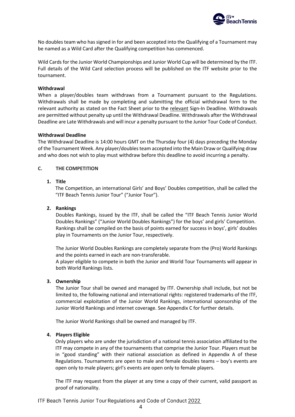

No doubles team who has signed in for and been accepted into the Qualifying of a Tournament may be named as a Wild Card after the Qualifying competition has commenced.

Wild Cards for the Junior World Championships and Junior World Cup will be determined by the ITF. Full details of the Wild Card selection process will be published on the ITF website prior to the tournament.

#### **Withdrawal**

When a player/doubles team withdraws from a Tournament pursuant to the Regulations. Withdrawals shall be made by completing and submitting the official withdrawal form to the relevant authority as stated on the Fact Sheet prior to the relevant Sign-In Deadline. Withdrawals are permitted without penalty up until the Withdrawal Deadline. Withdrawals after the Withdrawal Deadline are Late Withdrawals and will incur a penalty pursuant to the Junior Tour Code of Conduct.

#### **Withdrawal Deadline**

The Withdrawal Deadline is 14:00 hours GMT on the Thursday four (4) days preceding the Monday of the Tournament Week. Any player/doubles team accepted into the Main Draw or Qualifying draw and who does not wish to play must withdraw before this deadline to avoid incurring a penalty.

#### <span id="page-5-0"></span>**C. THE COMPETITION**

# **1. Title**

The Competition, an international Girls' and Boys' Doubles competition, shall be called the "ITF Beach Tennis Junior Tour" ("Junior Tour").

#### **2. Rankings**

Doubles Rankings, issued by the ITF, shall be called the "ITF Beach Tennis Junior World Doubles Rankings" ("Junior World Doubles Rankings") for the boys' and girls' Competition. Rankings shall be compiled on the basis of points earned for success in boys', girls' doubles play in Tournaments on the Junior Tour, respectively.

The Junior World Doubles Rankings are completely separate from the (Pro) World Rankings and the points earned in each are non-transferable.

A player eligible to compete in both the Junior and World Tour Tournaments will appear in both World Rankings lists.

#### **3. Ownership**

The Junior Tour shall be owned and managed by ITF. Ownership shall include, but not be limited to, the following national and international rights: registered trademarks of the ITF, commercial exploitation of the Junior World Rankings, international sponsorship of the Junior World Rankings and internet coverage. See Appendix C for further details.

The Junior World Rankings shall be owned and managed by ITF.

#### **4. Players Eligible**

Only players who are under the jurisdiction of a national tennis association affiliated to the ITF may compete in any of the tournaments that comprise the Junior Tour. Players must be in "good standing" with their national association as defined in Appendix A of these Regulations. Tournaments are open to male and female doubles teams – boy's events are open only to male players; girl's events are open only to female players.

The ITF may request from the player at any time a copy of their current, valid passport as proof of nationality.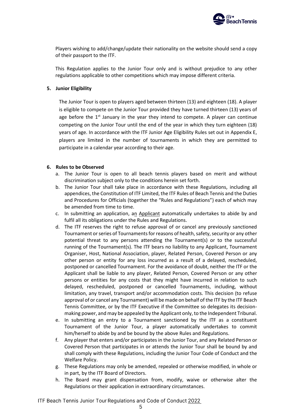

Players wishing to add/change/update their nationality on the website should send a copy of their passport to the ITF.

This Regulation applies to the Junior Tour only and is without prejudice to any other regulations applicable to other competitions which may impose different criteria.

#### **5. Junior Eligibility**

The Junior Tour is open to players aged between thirteen (13) and eighteen (18). A player is eligible to compete on the Junior Tour provided they have turned thirteen (13) years of age before the  $1<sup>st</sup>$  January in the year they intend to compete. A player can continue competing on the Junior Tour until the end of the year in which they turn eighteen (18) years of age. In accordance with the ITF Junior Age Eligibility Rules set out in Appendix E, players are limited in the number of tournaments in which they are permitted to participate in a calendar year according to their age.

#### **6. Rules to be Observed**

- a. The Junior Tour is open to all beach tennis players based on merit and without discrimination subject only to the conditions herein set forth.
- b. The Junior Tour shall take place in accordance with these Regulations, including all appendices, the Constitution of ITF Limited, the ITF Rules of Beach Tennis and the Duties and Procedures for Officials (together the "Rules and Regulations") each of which may be amended from time to time.
- c. In submitting an application, an Applicant automatically undertakes to abide by and fulfil all its obligations under the Rules and Regulations.
- d. The ITF reserves the right to refuse approval of or cancel any previously sanctioned Tournament or series of Tournaments for reasons of health, safety, security or any other potential threat to any persons attending the Tournament(s) or to the successful running of the Tournament(s). The ITF bears no liability to any Applicant, Tournament Organiser, Host, National Association, player, Related Person, Covered Person or any other person or entity for any loss incurred as a result of a delayed, rescheduled, postponed or cancelled Tournament. For the avoidance of doubt, neither the ITF or the Applicant shall be liable to any player, Related Person, Covered Person or any other persons or entities for any costs that they might have incurred in relation to such delayed, rescheduled, postponed or cancelled Tournaments, including, without limitation, any travel, transport and/or accommodation costs. This decision (to refuse approval of or cancel any Tournament) will be made on behalf of the ITF by the ITF Beach Tennis Committee, or by the ITF Executive if the Committee so delegates its decisionmaking power, and may be appealed by the Applicant only, to the Independent Tribunal.
- e. In submitting an entry to a Tournament sanctioned by the ITF as a constituent Tournament of the Junior Tour, a player automatically undertakes to commit him/herself to abide by and be bound by the above Rules and Regulations.
- f. Any player that enters and/or participates in the Junior Tour, and any Related Person or Covered Person that participates in or attends the Junior Tour shall be bound by and shall comply with these Regulations, including the Junior Tour Code of Conduct and the Welfare Policy.
- g. These Regulations may only be amended, repealed or otherwise modified, in whole or in part, by the ITF Board of Directors.
- h. The Board may grant dispensation from, modify, waive or otherwise alter the Regulations or their application in extraordinary circumstances.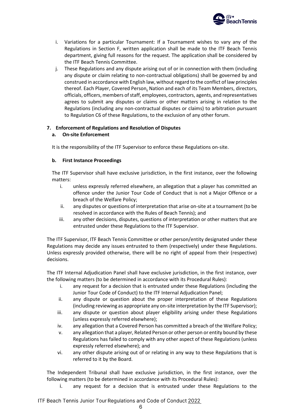

- i. Variations for a particular Tournament: If a Tournament wishes to vary any of the Regulations in Section F, written application shall be made to the ITF Beach Tennis department, giving full reasons for the request. The application shall be considered by the ITF Beach Tennis Committee.
- j. These Regulations and any dispute arising out of or in connection with them (including any dispute or claim relating to non-contractual obligations) shall be governed by and construed in accordance with English law, without regard to the conflict of law principles thereof. Each Player, Covered Person, Nation and each of its Team Members, directors, officials, officers, members of staff, employees, contractors, agents, and representatives agrees to submit any disputes or claims or other matters arising in relation to the Regulations (including any non-contractual disputes or claims) to arbitration pursuant to Regulation C6 of these Regulations, to the exclusion of any other forum.

# **7. Enforcement of Regulations and Resolution of Disputes**

# **a. On-site Enforcement**

It is the responsibility of the ITF Supervisor to enforce these Regulations on-site.

# **b. First Instance Proceedings**

The ITF Supervisor shall have exclusive jurisdiction, in the first instance, over the following matters:

- i. unless expressly referred elsewhere, an allegation that a player has committed an offence under the Junior Tour Code of Conduct that is not a Major Offence or a breach of the Welfare Policy;
- ii. any disputes or questions of interpretation that arise on-site at a tournament (to be resolved in accordance with the Rules of Beach Tennis); and
- iii. any other decisions, disputes, questions of interpretation or other matters that are entrusted under these Regulations to the ITF Supervisor.

The ITF Supervisor, ITF Beach Tennis Committee or other person/entity designated under these Regulations may decide any issues entrusted to them (respectively) under these Regulations. Unless expressly provided otherwise, there will be no right of appeal from their (respective) decisions.

The ITF Internal Adjudication Panel shall have exclusive jurisdiction, in the first instance, over the following matters (to be determined in accordance with its Procedural Rules):

- i. any request for a decision that is entrusted under these Regulations (including the Junior Tour Code of Conduct) to the ITF Internal Adjudication Panel;
- ii. any dispute or question about the proper interpretation of these Regulations (including reviewing as appropriate any on-site interpretation by the ITF Supervisor);
- iii. any dispute or question about player eligibility arising under these Regulations (unless expressly referred elsewhere);
- iv. any allegation that a Covered Person has committed a breach of the Welfare Policy;
- v. any allegation that a player, Related Person or other person or entity bound by these Regulations has failed to comply with any other aspect of these Regulations (unless expressly referred elsewhere); and
- vi. any other dispute arising out of or relating in any way to these Regulations that is referred to it by the Board.

The Independent Tribunal shall have exclusive jurisdiction, in the first instance, over the following matters (to be determined in accordance with its Procedural Rules):

i. any request for a decision that is entrusted under these Regulations to the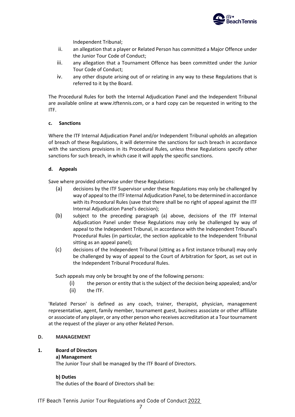

Independent Tribunal;

- ii. an allegation that a player or Related Person has committed a Major Offence under the Junior Tour Code of Conduct;
- iii. any allegation that a Tournament Offence has been committed under the Junior Tour Code of Conduct;
- iv. any other dispute arising out of or relating in any way to these Regulations that is referred to it by the Board.

The Procedural Rules for both the Internal Adjudication Panel and the Independent Tribunal are available online at www.itftennis.com, or a hard copy can be requested in writing to the ITF.

# **c. Sanctions**

Where the ITF Internal Adjudication Panel and/or Independent Tribunal upholds an allegation of breach of these Regulations, it will determine the sanctions for such breach in accordance with the sanctions provisions in its Procedural Rules, unless these Regulations specify other sanctions for such breach, in which case it will apply the specific sanctions.

# **d. Appeals**

Save where provided otherwise under these Regulations:

- (a) decisions by the ITF Supervisor under these Regulations may only be challenged by way of appeal to the ITF Internal Adjudication Panel, to be determined in accordance with its Procedural Rules (save that there shall be no right of appeal against the ITF Internal Adjudication Panel's decision);
- (b) subject to the preceding paragraph (a) above, decisions of the ITF Internal Adjudication Panel under these Regulations may only be challenged by way of appeal to the Independent Tribunal, in accordance with the Independent Tribunal's Procedural Rules (in particular, the section applicable to the Independent Tribunal sitting as an appeal panel);
- (c) decisions of the Independent Tribunal (sitting as a first instance tribunal) may only be challenged by way of appeal to the Court of Arbitration for Sport, as set out in the Independent Tribunal Procedural Rules.

Such appeals may only be brought by one of the following persons:

- (i) the person or entity that is the subject of the decision being appealed; and/or
- (ii) the ITF.

'Related Person' is defined as any coach, trainer, therapist, physician, management representative, agent, family member, tournament guest, business associate or other affiliate or associate of any player, or any other person who receives accreditation at a Tour tournament at the request of the player or any other Related Person.

# <span id="page-8-0"></span>**D. MANAGEMENT**

# **1. Board of Directors**

# **a) Management**

The Junior Tour shall be managed by the ITF Board of Directors.

# **b) Duties**

The duties of the Board of Directors shall be: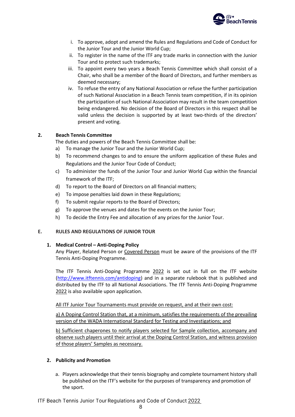

- i. To approve, adopt and amend the Rules and Regulations and Code of Conduct for the Junior Tour and the Junior World Cup;
- ii. To register in the name of the ITF any trade marks in connection with the Junior Tour and to protect such trademarks;
- iii. To appoint every two years a Beach Tennis Committee which shall consist of a Chair, who shall be a member of the Board of Directors, and further members as deemed necessary;
- iv. To refuse the entry of any National Association or refuse the further participation of such National Association in a Beach Tennis team competition, if in its opinion the participation of such National Association may result in the team competition being endangered. No decision of the Board of Directors in this respect shall be valid unless the decision is supported by at least two-thirds of the directors' present and voting.

# **2. Beach Tennis Committee**

The duties and powers of the Beach Tennis Committee shall be:

- a) To manage the Junior Tour and the Junior World Cup;
- b) To recommend changes to and to ensure the uniform application of these Rules and Regulations and the Junior Tour Code of Conduct;
- c) To administer the funds of the Junior Tour and Junior World Cup within the financial framework of the ITF;
- d) To report to the Board of Directors on all financial matters;
- e) To impose penalties laid down in these Regulations;
- f) To submit regular reports to the Board of Directors;
- g) To approve the venues and dates for the events on the Junior Tour;
- h) To decide the Entry Fee and allocation of any prizes for the Junior Tour.

# <span id="page-9-0"></span>**E. RULES AND REGULATIONS OF JUNIOR TOUR**

# **1. Medical Control – Anti-Doping Policy**

Any Player, Related Person or Covered Person must be aware of the provisions of the ITF Tennis Anti-Doping Programme.

The ITF Tennis Anti-Doping Programme 2022 is set out in full on the ITF website [\(http://www.itftennis.com/antidoping\)](http://www.itftennis.com/antidoping) and in a separate rulebook that is published and distributed by the ITF to all National Associations. The ITF Tennis Anti-Doping Programme 2022 is also available upon application.

All ITF Junior Tour Tournaments must provide on request, and at their own cost:

a) A Doping Control Station that, at a minimum, satisfies the requirements of the prevailing version of the WADA International Standard for Testing and Investigations; and

b) Sufficient chaperones to notify players selected for Sample collection, accompany and observe such players until their arrival at the Doping Control Station, and witness provision of those players' Samples as necessary.

# **2. Publicity and Promotion**

a. Players acknowledge that their tennis biography and complete tournament history shall be published on the ITF's website for the purposes of transparency and promotion of the sport.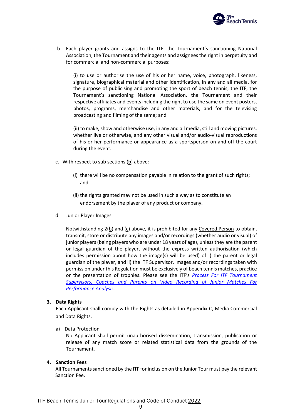

b. Each player grants and assigns to the ITF, the Tournament's sanctioning National Association, the Tournament and their agents and assignees the right in perpetuity and for commercial and non-commercial purposes:

(i) to use or authorise the use of his or her name, voice, photograph, likeness, signature, biographical material and other identification, in any and all media, for the purpose of publicising and promoting the sport of beach tennis, the ITF, the Tournament's sanctioning National Association, the Tournament and their respective affiliates and events including the right to use the same on event posters, photos, programs, merchandise and other materials, and for the televising broadcasting and filming of the same; and

(ii) to make, show and otherwise use, in any and all media, still and moving pictures, whether live or otherwise, and any other visual and/or audio-visual reproductions of his or her performance or appearance as a sportsperson on and off the court during the event.

- c. With respect to sub sections (b) above:
	- (i) there will be no compensation payable in relation to the grant of such rights; and
	- (ii) the rights granted may not be used in such a way as to constitute an endorsement by the player of any product or company.
- d. Junior Player Images

Notwithstanding  $2(\underline{b})$  and  $(\underline{c})$  above, it is prohibited for any Covered Person to obtain, transmit, store or distribute any images and/or recordings (whether audio or visual) of junior players (being players who are under 18 years of age), unless they are the parent or legal guardian of the player, without the express written authorisation (which includes permission about how the image(s) will be used) of i) the parent or legal guardian of the player, and ii) the ITF Supervisor. Images and/or recordings taken with permission under this Regulation must be exclusively of beach tennis matches, practice or the presentation of trophies. Please see the ITF's *[Process For ITF Tournament](http://www.itftennis.com/media/7267/itf-performance-analysis-video-u18.pdf)  [Supervisors, Coaches and Parents on Video Recording of Junior Matches For](http://www.itftennis.com/media/7267/itf-performance-analysis-video-u18.pdf)  [Performance Analysis](http://www.itftennis.com/media/7267/itf-performance-analysis-video-u18.pdf)*.

# **3. Data Rights**

Each Applicant shall comply with the Rights as detailed in Appendix C, Media Commercial and Data Rights.

a) Data Protection

No Applicant shall permit unauthorised dissemination, transmission, publication or release of any match score or related statistical data from the grounds of the Tournament.

#### **4. Sanction Fees**

All Tournaments sanctioned by the ITF for inclusion on the Junior Tour must pay the relevant Sanction Fee.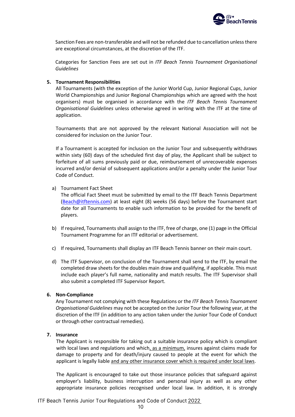

Sanction Fees are non-transferable and will not be refunded due to cancellation unless there are exceptional circumstances, at the discretion of the ITF.

Categories for Sanction Fees are set out in *ITF Beach Tennis Tournament Organisational Guidelines*

#### **5. Tournament Responsibilities**

All Tournaments (with the exception of the Junior World Cup, Junior Regional Cups, Junior World Championships and Junior Regional Championships which are agreed with the host organisers) must be organised in accordance with the *ITF Beach Tennis Tournament Organisational Guidelines* unless otherwise agreed in writing with the ITF at the time of application.

Tournaments that are not approved by the relevant National Association will not be considered for inclusion on the Junior Tour.

If a Tournament is accepted for inclusion on the Junior Tour and subsequently withdraws within sixty (60) days of the scheduled first day of play, the Applicant shall be subject to forfeiture of all sums previously paid or due, reimbursement of unrecoverable expenses incurred and/or denial of subsequent applications and/or a penalty under the Junior Tour Code of Conduct.

#### a) Tournament Fact Sheet

The official Fact Sheet must be submitted by email to the ITF Beach Tennis Department [\(Beach@itftennis.com\)](mailto:Beachtennis@itftennis.com) at least eight (8) weeks (56 days) before the Tournament start date for all Tournaments to enable such information to be provided for the benefit of players.

- b) If required, Tournaments shall assign to the ITF, free of charge, one (1) page in the Official Tournament Programme for an ITF editorial or advertisement.
- c) If required, Tournaments shall display an ITF Beach Tennis banner on their main court.
- d) The ITF Supervisor, on conclusion of the Tournament shall send to the ITF, by email the completed draw sheets for the doubles main draw and qualifying, if applicable. This must include each player's full name, nationality and match results. The ITF Supervisor shall also submit a completed ITF Supervisor Report.

# **6. Non-Compliance**

Any Tournament not complying with these Regulations or the *ITF Beach Tennis Tournament Organisational Guidelines* may not be accepted on the Junior Tour the following year, at the discretion of the ITF (in addition to any action taken under the Junior Tour Code of Conduct or through other contractual remedies).

# **7. Insurance**

The Applicant is responsible for taking out a suitable insurance policy which is compliant with local laws and regulations and which, as a minimum, insures against claims made for damage to property and for death/injury caused to people at the event for which the applicant is legally liable and any other insurance cover which is required under local laws.

The Applicant is encouraged to take out those insurance policies that safeguard against employer's liability, business interruption and personal injury as well as any other appropriate insurance policies recognised under local law. In addition, it is strongly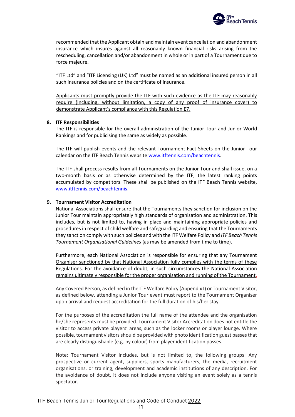

recommended that the Applicant obtain and maintain event cancellation and abandonment insurance which insures against all reasonably known financial risks arising from the rescheduling, cancellation and/or abandonment in whole or in part of a Tournament due to force majeure.

"ITF Ltd" and "ITF Licensing (UK) Ltd" must be named as an additional insured person in all such insurance policies and on the certificate of insurance.

Applicants must promptly provide the ITF with such evidence as the ITF may reasonably require (including, without limitation, a copy of any proof of insurance cover) to demonstrate Applicant's compliance with this Regulation E7.

#### **8. ITF Responsibilities**

The ITF is responsible for the overall administration of the Junior Tour and Junior World Rankings and for publicising the same as widely as possible.

The ITF will publish events and the relevant Tournament Fact Sheets on the Junior Tour calendar on the ITF Beach Tennis websit[e www.itftennis.com/beachtennis.](http://www.itftennis.com/beachtennis)

The ITF shall process results from all Tournaments on the Junior Tour and shall issue, on a two-month basis or as otherwise determined by the ITF, the latest ranking points accumulated by competitors. These shall be published on the ITF Beach Tennis website, [www.itftennis.com/beachtennis.](http://www.itftennis.com/beachtennis)

#### **9. Tournament Visitor Accreditation**

National Associations shall ensure that the Tournaments they sanction for inclusion on the Junior Tour maintain appropriately high standards of organisation and administration. This includes, but is not limited to, having in place and maintaining appropriate policies and procedures in respect of child welfare and safeguarding and ensuring that the Tournaments they sanction comply with such policies and with the ITF Welfare Policy and *ITF Beach Tennis Tournament Organisational Guidelines* (as may be amended from time to time).

Furthermore, each National Association is responsible for ensuring that any Tournament Organiser sanctioned by that National Association fully complies with the terms of these Regulations. For the avoidance of doubt, in such circumstances the National Association remains ultimately responsible for the proper organisation and running of the Tournament.

Any Covered Person, as defined in the ITF Welfare Policy (Appendix I) or Tournament Visitor, as defined below, attending a Junior Tour event must report to the Tournament Organiser upon arrival and request accreditation for the full duration of his/her stay.

For the purposes of the accreditation the full name of the attendee and the organisation he/she represents must be provided. Tournament Visitor Accreditation does not entitle the visitor to access private players' areas, such as the locker rooms or player lounge. Where possible, tournament visitors should be provided with photo identification guest passes that are clearly distinguishable (e.g. by colour) from player identification passes.

Note: Tournament Visitor includes, but is not limited to, the following groups: Any prospective or current agent, suppliers, sports manufacturers, the media, recruitment organisations, or training, development and academic institutions of any description. For the avoidance of doubt, it does not include anyone visiting an event solely as a tennis spectator.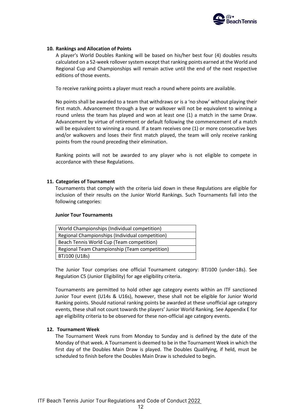

#### **10. Rankings and Allocation of Points**

A player's World Doubles Ranking will be based on his/her best four (4) doubles results calculated on a 52-week rollover system except that ranking points earned at the World and Regional Cup and Championships will remain active until the end of the next respective editions of those events.

To receive ranking points a player must reach a round where points are available.

No points shall be awarded to a team that withdraws or is a 'no show' without playing their first match. Advancement through a bye or walkover will not be equivalent to winning a round unless the team has played and won at least one (1) a match in the same Draw. Advancement by virtue of retirement or default following the commencement of a match will be equivalent to winning a round. If a team receives one (1) or more consecutive byes and/or walkovers and loses their first match played, the team will only receive ranking points from the round preceding their elimination.

Ranking points will not be awarded to any player who is not eligible to compete in accordance with these Regulations.

#### **11. Categories of Tournament**

Tournaments that comply with the criteria laid down in these Regulations are eligible for inclusion of their results on the Junior World Rankings. Such Tournaments fall into the following categories:

#### **Junior Tour Tournaments**

| World Championships (Individual competition)    |
|-------------------------------------------------|
| Regional Championships (Individual competition) |
| Beach Tennis World Cup (Team competition)       |
| Regional Team Championship (Team competition)   |
| BTJ100 (U18s)                                   |

The Junior Tour comprises one official Tournament category: BTJ100 (under-18s). See Regulation C5 (Junior Eligibility) for age eligibility criteria.

Tournaments are permitted to hold other age category events within an ITF sanctioned Junior Tour event (U14s & U16s), however, these shall not be eligible for Junior World Ranking points. Should national ranking points be awarded at these unofficial age category events, these shall not count towards the players' Junior World Ranking. See Appendix E for age eligibility criteria to be observed for these non-official age category events.

#### **12. Tournament Week**

The Tournament Week runs from Monday to Sunday and is defined by the date of the Monday of that week. A Tournament is deemed to be in the Tournament Week in which the first day of the Doubles Main Draw is played. The Doubles Qualifying, if held, must be scheduled to finish before the Doubles Main Draw is scheduled to begin.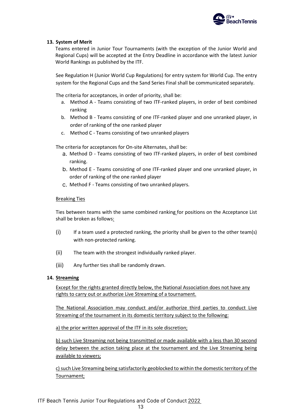

# **13. System of Merit**

Teams entered in Junior Tour Tournaments (with the exception of the Junior World and Regional Cups) will be accepted at the Entry Deadline in accordance with the latest Junior World Rankings as published by the ITF.

See Regulation H (Junior World Cup Regulations) for entry system for World Cup. The entry system for the Regional Cups and the Sand Series Final shall be communicated separately.

The criteria for acceptances, in order of priority, shall be:

- a. Method A Teams consisting of two ITF-ranked players, in order of best combined ranking
- b. Method B Teams consisting of one ITF-ranked player and one unranked player, in order of ranking of the one ranked player
- c. Method C Teams consisting of two unranked players

The criteria for acceptances for On-site Alternates, shall be:

- Method D Teams consisting of two ITF-ranked players, in order of best combined ranking.
- Method E Teams consisting of one ITF-ranked player and one unranked player, in order of ranking of the one ranked player
- Method F Teams consisting of two unranked players.

# Breaking Ties

Ties between teams with the same combined ranking for positions on the Acceptance List shall be broken as follows:

- $(i)$ If a team used a protected ranking, the priority shall be given to the other team(s) with non-protected ranking.
- $(ii)$ The team with the strongest individually ranked player.
- (iii) Any further ties shall be randomly drawn.

# **14. Streaming**

Except for the rights granted directly below, the National Association does not have any rights to carry out or authorize Live Streaming of a tournament.

The National Association may conduct and/or authorize third parties to conduct Live Streaming of the tournament in its domestic territory subject to the following:

a) the prior written approval of the ITF in its sole discretion;

b) such Live Streaming not being transmitted or made available with a less than 30 second delay between the action taking place at the tournament and the Live Streaming being available to viewers;

c) such Live Streaming being satisfactorily geoblocked to within the domestic territory of the Tournament;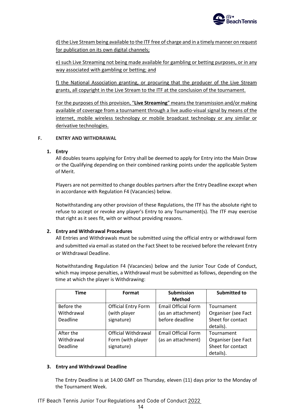

d) the Live Stream being available to the ITF free of charge and in a timely manner on request for publication on its own digital channels;

e) such Live Streaming not being made available for gambling or betting purposes, or in any way associated with gambling or betting; and

f) the National Association granting, or procuring that the producer of the Live Stream grants, all copyright in the Live Stream to the ITF at the conclusion of the tournament.

For the purposes of this provision, "**Live Streaming**" means the transmission and/or making available of coverage from a tournament through a live audio-visual signal by means of the internet, mobile wireless technology or mobile broadcast technology or any similar or derivative technologies.

# <span id="page-15-0"></span>**F. ENTRY AND WITHDRAWAL**

# **1. Entry**

All doubles teams applying for Entry shall be deemed to apply for Entry into the Main Draw or the Qualifying depending on their combined ranking points under the applicable System of Merit.

Players are not permitted to change doubles partners after the Entry Deadline except when in accordance with Regulation F4 (Vacancies) below.

Notwithstanding any other provision of these Regulations, the ITF has the absolute right to refuse to accept or revoke any player's Entry to any Tournament(s). The ITF may exercise that right as it sees fit, with or without providing reasons.

# **2. Entry and Withdrawal Procedures**

All Entries and Withdrawals must be submitted using the official entry or withdrawal form and submitted via email as stated on the Fact Sheet to be received before the relevant Entry or Withdrawal Deadline.

Notwithstanding Regulation F4 (Vacancies) below and the Junior Tour Code of Conduct, which may impose penalties, a Withdrawal must be submitted as follows, depending on the time at which the player is Withdrawing:

| <b>Time</b> | Format                     | <b>Submission</b>          | <b>Submitted to</b> |
|-------------|----------------------------|----------------------------|---------------------|
|             |                            | <b>Method</b>              |                     |
| Before the  | <b>Official Entry Form</b> | <b>Email Official Form</b> | Tournament          |
| Withdrawal  | (with player               | (as an attachment)         | Organiser (see Fact |
| Deadline    | signature)                 | before deadline            | Sheet for contact   |
|             |                            |                            | details).           |
| After the   | Official Withdrawal        | <b>Email Official Form</b> | Tournament          |
| Withdrawal  | Form (with player          | (as an attachment)         | Organiser (see Fact |
| Deadline    | signature)                 |                            | Sheet for contact   |
|             |                            |                            | details).           |

# **3. Entry and Withdrawal Deadline**

The Entry Deadline is at 14.00 GMT on Thursday, eleven (11) days prior to the Monday of the Tournament Week.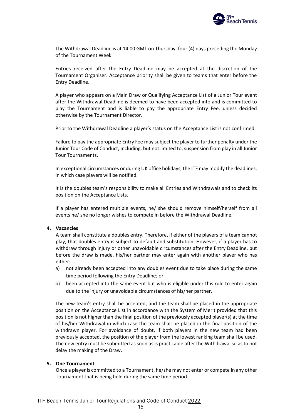

The Withdrawal Deadline is at 14.00 GMT on Thursday, four (4) days preceding the Monday of the Tournament Week.

Entries received after the Entry Deadline may be accepted at the discretion of the Tournament Organiser. Acceptance priority shall be given to teams that enter before the Entry Deadline.

A player who appears on a Main Draw or Qualifying Acceptance List of a Junior Tour event after the Withdrawal Deadline is deemed to have been accepted into and is committed to play the Tournament and is liable to pay the appropriate Entry Fee, unless decided otherwise by the Tournament Director.

Prior to the Withdrawal Deadline a player's status on the Acceptance List is not confirmed.

Failure to pay the appropriate Entry Fee may subject the player to further penalty under the Junior Tour Code of Conduct, including, but not limited to, suspension from play in all Junior Tour Tournaments.

In exceptional circumstances or during UK office holidays, the ITF may modify the deadlines, in which case players will be notified.

It is the doubles team's responsibility to make all Entries and Withdrawals and to check its position on the Acceptance Lists.

If a player has entered multiple events, he/ she should remove himself/herself from all events he/ she no longer wishes to compete in before the Withdrawal Deadline.

#### **4. Vacancies**

A team shall constitute a doubles entry. Therefore, if either of the players of a team cannot play, that doubles entry is subject to default and substitution. However, if a player has to withdraw through injury or other unavoidable circumstances after the Entry Deadline, but before the draw is made, his/her partner may enter again with another player who has either:

- a) not already been accepted into any doubles event due to take place during the same time period following the Entry Deadline; or
- b) been accepted into the same event but who is eligible under this rule to enter again due to the injury or unavoidable circumstances of his/her partner.

The new team's entry shall be accepted, and the team shall be placed in the appropriate position on the Acceptance List in accordance with the System of Merit provided that this position is not higher than the final position of the previously accepted player(s) at the time of his/her Withdrawal in which case the team shall be placed in the final position of the withdrawn player. For avoidance of doubt, if both players in the new team had been previously accepted, the position of the player from the lowest ranking team shall be used. The new entry must be submitted as soon as is practicable after the Withdrawal so as to not delay the making of the Draw.

#### **5. One Tournament**

Once a player is committed to a Tournament, he/she may not enter or compete in any other Tournament that is being held during the same time period.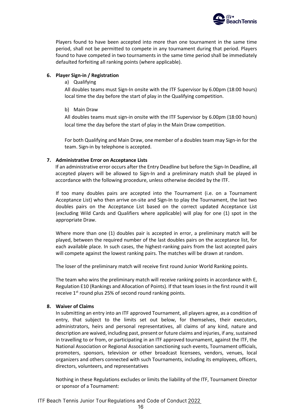

Players found to have been accepted into more than one tournament in the same time period, shall not be permitted to compete in any tournament during that period. Players found to have competed in two tournaments in the same time period shall be immediately defaulted forfeiting all ranking points (where applicable).

# **6. Player Sign-in / Registration**

#### a) Qualifying

All doubles teams must Sign-In onsite with the ITF Supervisor by 6.00pm (18:00 hours) local time the day before the start of play in the Qualifying competition.

#### b) Main Draw

All doubles teams must sign-in onsite with the ITF Supervisor by 6.00pm (18:00 hours) local time the day before the start of play in the Main Draw competition.

For both Qualifying and Main Draw, one member of a doubles team may Sign-in for the team. Sign-in by telephone is accepted.

# **7. Administrative Error on Acceptance Lists**

If an administrative error occurs after the Entry Deadline but before the Sign-In Deadline, all accepted players will be allowed to Sign-In and a preliminary match shall be played in accordance with the following procedure, unless otherwise decided by the ITF.

If too many doubles pairs are accepted into the Tournament (i.e. on a Tournament Acceptance List) who then arrive on-site and Sign-In to play the Tournament, the last two doubles pairs on the Acceptance List based on the correct updated Acceptance List (excluding Wild Cards and Qualifiers where applicable) will play for one (1) spot in the appropriate Draw.

Where more than one (1) doubles pair is accepted in error, a preliminary match will be played, between the required number of the last doubles pairs on the acceptance list, for each available place. In such cases, the highest-ranking pairs from the last accepted pairs will compete against the lowest ranking pairs. The matches will be drawn at random.

The loser of the preliminary match will receive first round Junior World Ranking points.

The team who wins the preliminary match will receive ranking points in accordance with E, Regulation E10 (Rankings and Allocation of Points). If that team loses in the first round it will receive 1<sup>st</sup> round plus 25% of second round ranking points.

#### **8. Waiver of Claims**

In submitting an entry into an ITF approved Tournament, all players agree, as a condition of entry, that subject to the limits set out below, for themselves, their executors, administrators, heirs and personal representatives, all claims of any kind, nature and description are waived, including past, present or future claims and injuries, if any, sustained in travelling to or from, or participating in an ITF approved tournament, against the ITF, the National Association or Regional Association sanctioning such events, Tournament officials, promoters, sponsors, television or other broadcast licensees, vendors, venues, local organizers and others connected with such Tournaments, including its employees, officers, directors, volunteers, and representatives

Nothing in these Regulations excludes or limits the liability of the ITF, Tournament Director or sponsor of a Tournament: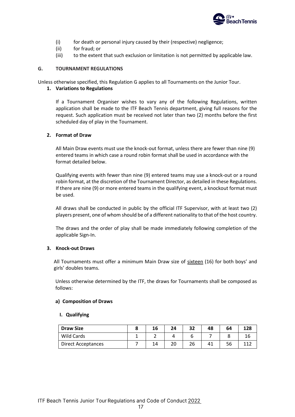

- (i) for death or personal injury caused by their (respective) negligence;
- (ii) for fraud; or
- (iii) to the extent that such exclusion or limitation is not permitted by applicable law.

# <span id="page-18-0"></span>**G. TOURNAMENT REGULATIONS**

Unless otherwise specified, this Regulation G applies to all Tournaments on the Junior Tour.

# **1. Variations to Regulations**

If a Tournament Organiser wishes to vary any of the following Regulations, written application shall be made to the ITF Beach Tennis department, giving full reasons for the request. Such application must be received not later than two (2) months before the first scheduled day of play in the Tournament.

# **2. Format of Draw**

All Main Draw events must use the knock-out format, unless there are fewer than nine (9) entered teams in which case a round robin format shall be used in accordance with the format detailed below.

Qualifying events with fewer than nine (9) entered teams may use a knock-out or a round robin format, at the discretion of the Tournament Director, as detailed in these Regulations. If there are nine (9) or more entered teams in the qualifying event, a knockout format must be used.

All draws shall be conducted in public by the official ITF Supervisor, with at least two (2) players present, one of whom should be of a different nationality to that of the host country.

The draws and the order of play shall be made immediately following completion of the applicable Sign-In.

# **3. Knock-out Draws**

All Tournaments must offer a minimum Main Draw size of sixteen (16) for both boys' and girls' doubles teams.

Unless otherwise determined by the ITF, the draws for Tournaments shall be composed as follows:

# **a) Composition of Draws**

# **I. Qualifying**

| <b>Draw Size</b>          | 16 | 24 | 32 | 48 | 64 | 128 |
|---------------------------|----|----|----|----|----|-----|
| Wild Cards                |    |    |    |    |    |     |
| <b>Direct Acceptances</b> | 14 |    | 26 |    | 56 |     |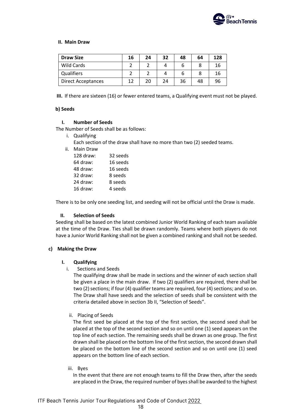

#### **II. Main Draw**

| <b>Draw Size</b>          | 16 | 24 | 32 | 48 | 64 | 128 |
|---------------------------|----|----|----|----|----|-----|
| Wild Cards                |    |    |    |    |    | 16  |
| Qualifiers                |    |    |    |    |    | 16  |
| <b>Direct Acceptances</b> | 12 | 20 | 24 | 36 | 48 | 96  |

**III.** If there are sixteen (16) or fewer entered teams, a Qualifying event must not be played.

#### **b) Seeds**

#### **I. Number of Seeds**

The Number of Seeds shall be as follows:

- i. Qualifying
	- Each section of the draw shall have no more than two (2) seeded teams.
- ii. Main Draw

| 128 draw: | 32 seeds |
|-----------|----------|
| 64 draw:  | 16 seeds |
| 48 draw:  | 16 seeds |
| 32 draw:  | 8 seeds  |
| 24 draw:  | 8 seeds  |
| 16 draw:  | 4 seeds  |

There is to be only one seeding list, and seeding will not be official until the Draw is made.

# **II. Selection of Seeds**

Seeding shall be based on the latest combined Junior World Ranking of each team available at the time of the Draw. Ties shall be drawn randomly. Teams where both players do not have a Junior World Ranking shall not be given a combined ranking and shall not be seeded.

# **c) Making the Draw**

# **I. Qualifying**

i. Sections and Seeds

The qualifying draw shall be made in sections and the winner of each section shall be given a place in the main draw. If two (2) qualifiers are required, there shall be two (2) sections; if four (4) qualifier teams are required, four (4) sections; and so on. The Draw shall have seeds and the selection of seeds shall be consistent with the criteria detailed above in section 3b II, "Selection of Seeds".

# ii. Placing of Seeds

The first seed be placed at the top of the first section, the second seed shall be placed at the top of the second section and so on until one (1) seed appears on the top line of each section. The remaining seeds shall be drawn as one group. The first drawn shall be placed on the bottom line of the first section, the second drawn shall be placed on the bottom line of the second section and so on until one (1) seed appears on the bottom line of each section.

iii. Byes

In the event that there are not enough teams to fill the Draw then, after the seeds are placed in the Draw, the required number of byes shall be awarded to the highest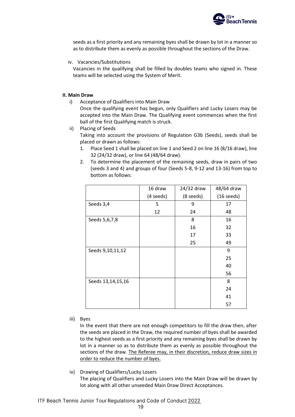

seeds as a first priority and any remaining byes shall be drawn by lot in a manner so as to distribute them as evenly as possible throughout the sections of the Draw.

iv. Vacancies/Substitutions

Vacancies in the qualifying shall be filled by doubles teams who signed in. These teams will be selected using the System of Merit.

#### **II. Main Draw**

- i) Acceptance of Qualifiers into Main Draw Once the qualifying event has begun, only Qualifiers and Lucky Losers may be accepted into the Main Draw. The Qualifying event commences when the first ball of the first Qualifying match is struck.
- ii) Placing of Seeds

Taking into account the provisions of Regulation G3b (Seeds), seeds shall be placed or drawn as follows:

- 1. Place Seed 1 shall be placed on line 1 and Seed 2 on line 16 (8/16 draw), line 32 (24/32 draw), or line 64 (48/64 draw).
- 2. To determine the placement of the remaining seeds, draw in pairs of two (seeds 3 and 4) and groups of four (Seeds 5-8, 9-12 and 13-16) from top to bottom as follows:

|                   | 16 draw   | 24/32 draw | 48/64 draw   |
|-------------------|-----------|------------|--------------|
|                   | (4 seeds) | (8 seeds)  | $(16$ seeds) |
| Seeds 3,4         | 5         | 9          | 17           |
|                   | 12        | 24         | 48           |
| Seeds 5,6,7,8     |           | 8          | 16           |
|                   |           | 16         | 32           |
|                   |           | 17         | 33           |
|                   |           | 25         | 49           |
| Seeds 9,10,11,12  |           |            | 9            |
|                   |           |            | 25           |
|                   |           |            | 40           |
|                   |           |            | 56           |
| Seeds 13,14,15,16 |           |            | 8            |
|                   |           |            | 24           |
|                   |           |            | 41           |
|                   |           |            | 57           |

iii) Byes

In the event that there are not enough competitors to fill the draw then, after the seeds are placed in the Draw, the required number of byes shall be awarded to the highest seeds as a first priority and any remaining byes shall be drawn by lot in a manner so as to distribute them as evenly as possible throughout the sections of the draw. The Referee may, in their discretion, reduce draw sizes in order to reduce the number of byes.

iv) Drawing of Qualifiers/Lucky Losers

The placing of Qualifiers and Lucky Losers into the Main Draw will be drawn by lot along with all other unseeded Main Draw Direct Acceptances.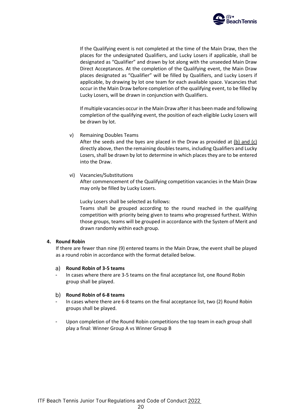

If the Qualifying event is not completed at the time of the Main Draw, then the places for the undesignated Qualifiers, and Lucky Losers if applicable, shall be designated as "Qualifier" and drawn by lot along with the unseeded Main Draw Direct Acceptances. At the completion of the Qualifying event, the Main Draw places designated as "Qualifier" will be filled by Qualifiers, and Lucky Losers if applicable, by drawing by lot one team for each available space. Vacancies that occur in the Main Draw before completion of the qualifying event, to be filled by Lucky Losers, will be drawn in conjunction with Qualifiers.

If multiple vacancies occur in the Main Draw after it has been made and following completion of the qualifying event, the position of each eligible Lucky Losers will be drawn by lot.

v) Remaining Doubles Teams

After the seeds and the byes are placed in the Draw as provided at  $(b)$  and  $(c)$ directly above, then the remaining doubles teams, including Qualifiers and Lucky Losers, shall be drawn by lot to determine in which places they are to be entered into the Draw.

vi) Vacancies/Substitutions

After commencement of the Qualifying competition vacancies in the Main Draw may only be filled by Lucky Losers.

Lucky Losers shall be selected as follows:

Teams shall be grouped according to the round reached in the qualifying competition with priority being given to teams who progressed furthest. Within those groups, teams will be grouped in accordance with the System of Merit and drawn randomly within each group.

# **4. Round Robin**

If there are fewer than nine (9) entered teams in the Main Draw, the event shall be played as a round robin in accordance with the format detailed below.

# **Round Robin of 3-5 teams**

In cases where there are 3-5 teams on the final acceptance list, one Round Robin group shall be played.

# **Round Robin of 6-8 teams**

- In cases where there are 6-8 teams on the final acceptance list, two (2) Round Robin groups shall be played.
- Upon completion of the Round Robin competitions the top team in each group shall play a final: Winner Group A vs Winner Group B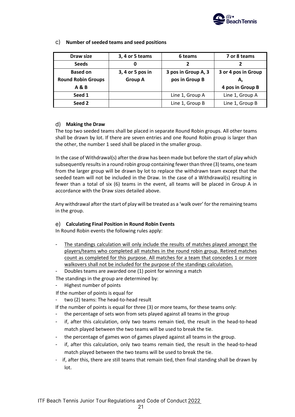

| Draw size                 | 3, 4 or 5 teams  | 6 teams             | 7 or 8 teams        |
|---------------------------|------------------|---------------------|---------------------|
| <b>Seeds</b>              | 0                | 2                   |                     |
| <b>Based on</b>           | 3, 4 or 5 pos in | 3 pos in Group A, 3 | 3 or 4 pos in Group |
| <b>Round Robin Groups</b> | <b>Group A</b>   | pos in Group B      |                     |
| <b>A &amp; B</b>          |                  |                     | 4 pos in Group B    |
| Seed 1                    |                  | Line 1, Group A     | Line 1, Group A     |
| Seed 2                    |                  | Line 1, Group B     | Line 1, Group B     |

# **Number of seeded teams and seed positions**

# **Making the Draw**

The top two seeded teams shall be placed in separate Round Robin groups. All other teams shall be drawn by lot. If there are seven entries and one Round Robin group is larger than the other, the number 1 seed shall be placed in the smaller group.

In the case of Withdrawal(s) after the draw has been made but before the start of play which subsequently results in a round robin group containing fewer than three (3) teams, one team from the larger group will be drawn by lot to replace the withdrawn team except that the seeded team will not be included in the Draw. In the case of a Withdrawal(s) resulting in fewer than a total of six (6) teams in the event, all teams will be placed in Group A in accordance with the Draw sizes detailed above.

Any withdrawal after the start of play will be treated as a 'walk over' for the remaining teams in the group.

# **Calculating Final Position in Round Robin Events**

In Round Robin events the following rules apply:

- The standings calculation will only include the results of matches played amongst the players/teams who completed all matches in the round robin group. Retired matches count as completed for this purpose. All matches for a team that concedes 1 or more walkovers shall not be included for the purpose of the standings calculation.
- Doubles teams are awarded one (1) point for winning a match

The standings in the group are determined by:

- Highest number of points
- If the number of points is equal for
- two (2) teams: The head-to-head result

If the number of points is equal for three (3) or more teams, for these teams only:

- the percentage of sets won from sets played against all teams in the group
- if, after this calculation, only two teams remain tied, the result in the head-to-head match played between the two teams will be used to break the tie.
- the percentage of games won of games played against all teams in the group.
- if, after this calculation, only two teams remain tied, the result in the head-to-head match played between the two teams will be used to break the tie.
- if, after this, there are still teams that remain tied, then final standing shall be drawn by lot.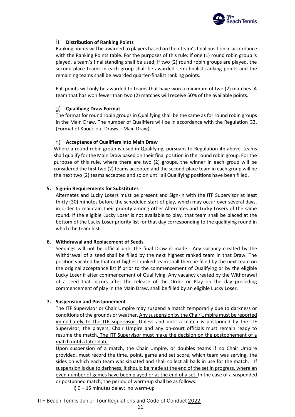

#### $f$ **Distribution of Ranking Points**

Ranking points will be awarded to players based on their team's final position in accordance with the Ranking Points table. For the purposes of this rule: if one (1) round robin group is played, a team's final standing shall be used; if two (2) round robin groups are played, the second-place teams in each group shall be awarded semi-finalist ranking points and the remaining teams shall be awarded quarter-finalist ranking points.

Full points will only be awarded to teams that have won a minimum of two (2) matches. A team that has won fewer than two (2) matches will receive 50% of the available points.

#### **Qualifying Draw Format**

The format for round robin groups in Qualifying shall be the same as for round robin groups in the Main Draw. The number of Qualifiers will be in accordance with the Regulation G3, (Format of Knock-out Draws – Main Draw).

#### **Acceptance of Qualifiers into Main Draw**

Where a round robin group is used in Qualifying, pursuant to Regulation 4b above, teams shall qualify for the Main Draw based on their final position in the round robin group. For the purpose of this rule, where there are two (2) groups, the winner in each group will be considered the first two (2) teams accepted and the second-place team in each group will be the next two (2) teams accepted and so on until all Qualifying positions have been filled.

#### **5. Sign-in Requirements for Substitutes**

Alternates and Lucky Losers must be present and Sign-In with the ITF Supervisor at least thirty (30) minutes before the scheduled start of play, which may occur over several days, in order to maintain their priority among other Alternates and Lucky Losers of the same round. If the eligible Lucky Loser is not available to play, that team shall be placed at the bottom of the Lucky Loser priority list for that day corresponding to the qualifying round in which the team lost.

#### **6. Withdrawal and Replacement of Seeds**

Seedings will not be official until the final Draw is made. Any vacancy created by the Withdrawal of a seed shall be filled by the next highest ranked team in that Draw. The position vacated by that next highest ranked team shall then be filled by the next team on the original acceptance list if prior to the commencement of Qualifying or by the eligible Lucky Loser if after commencement of Qualifying. Any vacancy created by the Withdrawal of a seed that occurs after the release of the Order or Play on the day preceding commencement of play in the Main Draw, shall be filled by an eligible Lucky Loser.

#### **7. Suspension and Postponement**

The ITF Supervisor or Chair Umpire may suspend a match temporarily due to darkness or conditions of the grounds or weather. Any suspension by the Chair Umpire must be reported immediately to the ITF supervisor. Unless and until a match is postponed by the ITF Supervisor, the players, Chair Umpire and any on-court officials must remain ready to resume the match. The ITF Supervisor must make the decision on the postponement of a match until a later date.

Upon suspension of a match, the Chair Umpire, or doubles teams if no Chair Umpire provided, must record the time, point, game and set score, which team was serving, the sides on which each team was situated and shall collect all balls in use for the match. If suspension is due to darkness, it should be made at the end of the set in progress, where an even number of games have been played or at the end of a set. In the case of a suspended or postponed match, the period of warm-up shall be as follows:

i) 0 – 15 minutes delay: no warm-up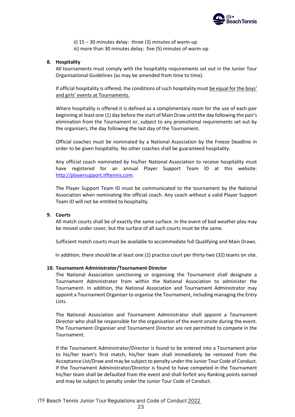

ii) 15 – 30 minutes delay: three (3) minutes of warm-up iii) more than 30 minutes delay: five (5) minutes of warm-up

#### **8. Hospitality**

All tournaments must comply with the hospitality requirements set out in the Junior Tour Organisational Guidelines (as may be amended from time to time).

If official hospitality is offered, the conditions of such hospitality must be equal for the boys' and girls' events at Tournaments.

Where hospitality is offered it is defined as a complimentary room for the use of each pair beginning at least one (1) day before the start of Main Draw until the day following the pair's elimination from the Tournament or, subject to any promotional requirements set out by the organisers, the day following the last day of the Tournament.

Official coaches must be nominated by a National Association by the Freeze Deadline in order to be given hospitality. No other coaches shall be guaranteed hospitality.

Any official coach nominated by his/her National Association to receive hospitality must have registered for an annual Player Support Team ID at this website: [http://playersupport.itftennis.com.](http://playersupport.itftennis.com/)

The Player Support Team ID must be communicated to the tournament by the National Association when nominating the official coach. Any coach without a valid Player Support Team ID will not be entitled to hospitality.

#### **9. Courts**

All match courts shall be of exactly the same surface. In the event of bad weather play may be moved under cover, but the surface of all such courts must be the same.

Sufficient match courts must be available to accommodate full Qualifying and Main Draws.

In addition, there should be at least one (1) practice court per thirty-two (32) teams on site.

#### **10. Tournament Administrator/Tournament Director**

The National Association sanctioning or organising the Tournament shall designate a Tournament Administrator from within the National Association to administer the Tournament. In addition, the National Association and Tournament Administrator may appoint a Tournament Organiser to organise the Tournament, including managing the Entry Lists.

The National Association and Tournament Administrator shall appoint a Tournament Director who shall be responsible for the organisation of the event onsite during the event. The Tournament Organiser and Tournament Director are not permitted to compete in the Tournament.

If the Tournament Administrator/Director is found to be entered into a Tournament prior to his/her team's first match, his/her team shall immediately be removed from the Acceptance List/Draw and may be subject to penalty under the Junior Tour Code of Conduct. If the Tournament Administrator/Director is found to have competed in the Tournament his/her team shall be defaulted from the event and shall forfeit any Ranking points earned and may be subject to penalty under the Junior Tour Code of Conduct.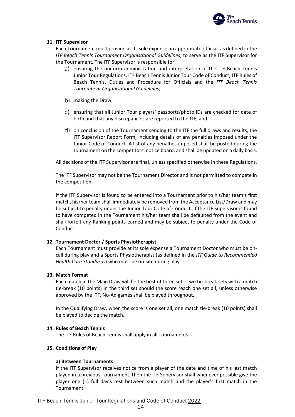

# **11. ITF Supervisor**

Each Tournament must provide at its sole expense an appropriate official, as defined in the *ITF Beach Tennis Tournament Organisational Guidelines*, to serve as the ITF Supervisor for the Tournament. The ITF Supervisor is responsible for:

- a) ensuring the uniform administration and interpretation of the ITF Beach Tennis Junior Tour Regulations, ITF Beach Tennis Junior Tour Code of Conduct, ITF Rules of Beach Tennis, Duties and Procedure for Officials and the *ITF Beach Tennis Tournament Organisational Guidelines*;
- b) making the Draw;
- c) ensuring that all Junior Tour players' passports/photo IDs are checked for date of birth and that any discrepancies are reported to the ITF; and
- on conclusion of the Tournament sending to the ITF the full draws and results, the ITF Supervisor Report Form, including details of any penalties imposed under the Junior Code of Conduct. A list of any penalties imposed shall be posted during the tournament on the competitors' notice board, and shall be updated on a daily basis.

All decisions of the ITF Supervisor are final, unless specified otherwise in these Regulations.

The ITF Supervisor may not be the Tournament Director and is not permitted to compete in the competition.

If the ITF Supervisor is found to be entered into a Tournament prior to his/her team's first match, his/her team shall immediately be removed from the Acceptance List/Draw and may be subject to penalty under the Junior Tour Code of Conduct. If the ITF Supervisor is found to have competed in the Tournament his/her team shall be defaulted from the event and shall forfeit any Ranking points earned and may be subject to penalty under the Code of Conduct.

# **12. Tournament Doctor / Sports Physiotherapist**

Each Tournament must provide at its sole expense a Tournament Doctor who must be oncall during play and a Sports Physiotherapist (as defined in the *ITF Guide to Recommended Health Care Standards*) who must be on-site during play.

# **13. Match Format**

Each match in the Main Draw will be the best of three sets: two tie-break sets with a match tie-break (10 points) in the third set should the score reach one set all, unless otherwise approved by the ITF. No-Ad games shall be played throughout.

In the Qualifying Draw, when the score is one set all, one match tie-break (10 points) shall be played to decide the match.

# **14. Rules of Beach Tennis**

The ITF Rules of Beach Tennis shall apply in all Tournaments.

# **15. Conditions of Play**

# **a) Between Tournaments**

If the ITF Supervisor receives notice from a player of the date and time of his last match played in a previous Tournament, then the ITF Supervisor shall whenever possible give the player one  $(1)$  full day's rest between such match and the player's first match in the Tournament.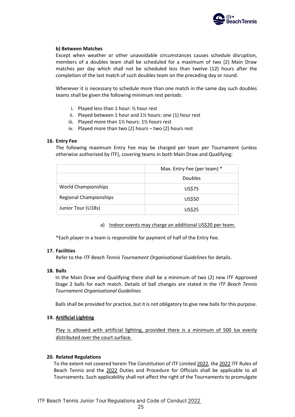

# **b) Between Matches**

Except when weather or other unavoidable circumstances causes schedule disruption, members of a doubles team shall be scheduled for a maximum of two (2) Main Draw matches per day which shall not be scheduled less than twelve (12) hours after the completion of the last match of such doubles team on the preceding day or round.

Whenever it is necessary to schedule more than one match in the same day such doubles teams shall be given the following minimum rest periods:

- i. Played less than 1 hour:  $\frac{1}{2}$  hour rest
- ii. Played between 1 hour and  $1\frac{1}{2}$  hours: one (1) hour rest
- iii. Played more than 1½ hours: 1½ hours rest
- iv. Played more than two (2) hours two (2) hours rest

# **16. Entry Fee**

The following maximum Entry Fee may be charged per team per Tournament (unless otherwise authorised by ITF), covering teams in both Main Draw and Qualifying:

|                            | Max. Entry Fee (per team) * |
|----------------------------|-----------------------------|
|                            | <b>Doubles</b>              |
| <b>World Championships</b> | <b>US\$75</b>               |
| Regional Championships     | US\$50                      |
| Junior Tour (U18s)         | US\$25                      |

a) Indoor events may charge an additional US\$20 per team.

\*Each player in a team is responsible for payment of half of the Entry Fee.

# **17. Facilities**

Refer to the *ITF Beach Tennis Tournament Organisational Guidelines* for details.

# **18. Balls**

In the Main Draw and Qualifying there shall be a minimum of two (2) new ITF Approved Stage 2 balls for each match. Details of ball changes are stated in the *ITF Beach Tennis Tournament Organisational Guidelines*

Balls shall be provided for practice, but it is not obligatory to give new balls for this purpose.

# **19. Artificial Lighting**

Play is allowed with artificial lighting, provided there is a minimum of 500 lux evenly distributed over the court surface.

# **20. Related Regulations**

To the extent not covered herein The Constitution of ITF Limited 2022, the 2022 ITF Rules of Beach Tennis and the 2022 Duties and Procedure for Officials shall be applicable to all Tournaments. Such applicability shall not affect the right of the Tournaments to promulgate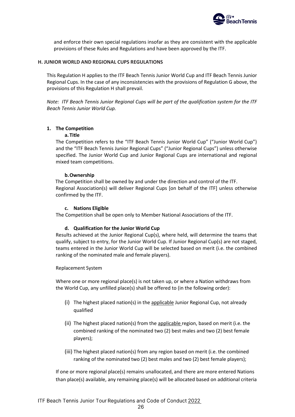

and enforce their own special regulations insofar as they are consistent with the applicable provisions of these Rules and Regulations and have been approved by the ITF.

#### <span id="page-27-0"></span>**H. JUNIOR WORLD AND REGIONAL CUPS REGULATIONS**

This Regulation H applies to the ITF Beach Tennis Junior World Cup and ITF Beach Tennis Junior Regional Cups. In the case of any inconsistencies with the provisions of Regulation G above, the provisions of this Regulation H shall prevail.

*Note: ITF Beach Tennis Junior Regional Cups will be part of the qualification system for the ITF Beach Tennis Junior World Cup.* 

# **1. The Competition**

#### **a. Title**

The Competition refers to the "ITF Beach Tennis Junior World Cup" ("Junior World Cup") and the "ITF Beach Tennis Junior Regional Cups" ("Junior Regional Cups") unless otherwise specified. The Junior World Cup and Junior Regional Cups are international and regional mixed team competitions.

#### **b.Ownership**

The Competition shall be owned by and under the direction and control of the ITF. Regional Association(s) will deliver Regional Cups [on behalf of the ITF] unless otherwise confirmed by the ITF.

#### **c. Nations Eligible**

The Competition shall be open only to Member National Associations of the ITF.

#### **d. Qualification for the Junior World Cup**

Results achieved at the Junior Regional Cup(s), where held, will determine the teams that qualify, subject to entry, for the Junior World Cup. If Junior Regional Cup(s) are not staged, teams entered in the Junior World Cup will be selected based on merit (i.e. the combined ranking of the nominated male and female players).

Replacement System

Where one or more regional place(s) is not taken up, or where a Nation withdraws from the World Cup, any unfilled place(s) shall be offered to (in the following order):

- (i) The highest placed nation(s) in the applicable Junior Regional Cup, not already qualified
- (ii) The highest placed nation(s) from the applicable region, based on merit (i.e. the combined ranking of the nominated two (2) best males and two (2) best female players);
- (iii) The highest placed nation(s) from any region based on merit (i.e. the combined ranking of the nominated two (2) best males and two (2) best female players);

If one or more regional place(s) remains unallocated, and there are more entered Nations than place(s) available, any remaining place(s) will be allocated based on additional criteria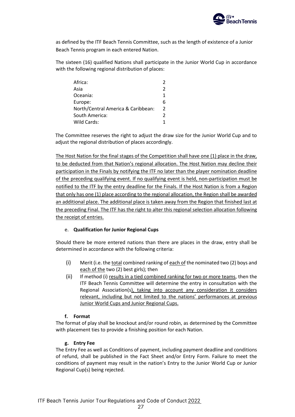

as defined by the ITF Beach Tennis Committee, such as the length of existence of a Junior Beach Tennis program in each entered Nation.

The sixteen (16) qualified Nations shall participate in the Junior World Cup in accordance with the following regional distribution of places:

| Africa:                            |   |
|------------------------------------|---|
| Asia                               | 2 |
| Oceania:                           |   |
| Europe:                            | 6 |
| North/Central America & Caribbean: | 2 |
| South America:                     | 2 |
| Wild Cards:                        |   |

The Committee reserves the right to adjust the draw size for the Junior World Cup and to adjust the regional distribution of places accordingly.

The Host Nation for the final stages of the Competition shall have one (1) place in the draw, to be deducted from that Nation's regional allocation. The Host Nation may decline their participation in the Finals by notifying the ITF no later than the player nomination deadline of the preceding qualifying event. If no qualifying event is held, non-participation must be notified to the ITF by the entry deadline for the Finals. If the Host Nation is from a Region that only has one (1) place according to the regional allocation, the Region shall be awarded an additional place. The additional place is taken away from the Region that finished last at the preceding Final. The ITF has the right to alter this regional selection allocation following the receipt of entries.

# e. **Qualification for Junior Regional Cups**

Should there be more entered nations than there are places in the draw, entry shall be determined in accordance with the following criteria:

- (i) Merit (i.e. the total combined ranking of each of the nominated two (2) boys and each of the two (2) best girls); then
- (ii) If method (i) results in a tied combined ranking for two or more teams, then the ITF Beach Tennis Committee will determine the entry in consultation with the Regional Association(s), taking into account any consideration it considers relevant, including but not limited to the nations' performances at previous Junior World Cups and Junior Regional Cups.

# **f. Format**

The format of play shall be knockout and/or round robin, as determined by the Committee with placement ties to provide a finishing position for each Nation.

# **g. Entry Fee**

The Entry Fee as well as Conditions of payment, including payment deadline and conditions of refund, shall be published in the Fact Sheet and/or Entry Form. Failure to meet the conditions of payment may result in the nation's Entry to the Junior World Cup or Junior Regional Cup(s) being rejected.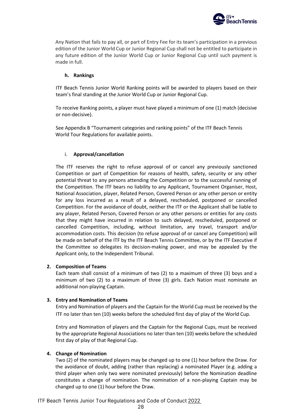

Any Nation that fails to pay all, or part of Entry Fee for its team's participation in a previous edition of the Junior World Cup or Junior Regional Cup shall not be entitled to participate in any future edition of the Junior World Cup or Junior Regional Cup until such payment is made in full.

#### **h. Rankings**

ITF Beach Tennis Junior World Ranking points will be awarded to players based on their team's final standing at the Junior World Cup or Junior Regional Cup.

To receive Ranking points, a player must have played a minimum of one (1) match (decisive or non-decisive).

See Appendix B "Tournament categories and ranking points" of the ITF Beach Tennis World Tour Regulations for available points.

# i. **Approval/cancellation**

The ITF reserves the right to refuse approval of or cancel any previously sanctioned Competition or part of Competition for reasons of health, safety, security or any other potential threat to any persons attending the Competition or to the successful running of the Competition. The ITF bears no liability to any Applicant, Tournament Organiser, Host, National Association, player, Related Person, Covered Person or any other person or entity for any loss incurred as a result of a delayed, rescheduled, postponed or cancelled Competition. For the avoidance of doubt, neither the ITF or the Applicant shall be liable to any player, Related Person, Covered Person or any other persons or entities for any costs that they might have incurred in relation to such delayed, rescheduled, postponed or cancelled Competition, including, without limitation, any travel, transport and/or accommodation costs. This decision (to refuse approval of or cancel any Competition) will be made on behalf of the ITF by the ITF Beach Tennis Committee, or by the ITF Executive if the Committee so delegates its decision-making power, and may be appealed by the Applicant only, to the Independent Tribunal.

# **2. Composition of Teams**

Each team shall consist of a minimum of two (2) to a maximum of three (3) boys and a minimum of two (2) to a maximum of three (3) girls. Each Nation must nominate an additional non-playing Captain.

# **3. Entry and Nomination of Teams**

Entry and Nomination of players and the Captain for the World Cup must be received by the ITF no later than ten (10) weeks before the scheduled first day of play of the World Cup.

Entry and Nomination of players and the Captain for the Regional Cups, must be received by the appropriate Regional Associations no later than ten (10) weeks before the scheduled first day of play of that Regional Cup.

#### **4. Change of Nomination**

Two (2) of the nominated players may be changed up to one (1) hour before the Draw. For the avoidance of doubt, adding (rather than replacing) a nominated Player (e.g. adding a third player when only two were nominated previously) before the Nomination deadline constitutes a change of nomination. The nomination of a non-playing Captain may be changed up to one (1) hour before the Draw.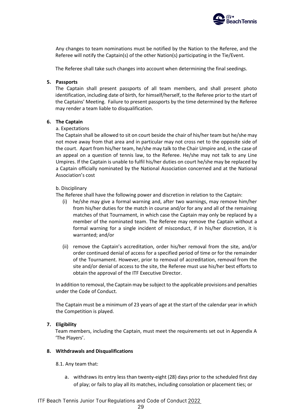

Any changes to team nominations must be notified by the Nation to the Referee, and the Referee will notify the Captain(s) of the other Nation(s) participating in the Tie/Event.

The Referee shall take such changes into account when determining the final seedings.

# **5. Passports**

The Captain shall present passports of all team members, and shall present photo identification, including date of birth, for himself/herself, to the Referee prior to the start of the Captains' Meeting. Failure to present passports by the time determined by the Referee may render a team liable to disqualification.

# **6. The Captain**

# a. Expectations

The Captain shall be allowed to sit on court beside the chair of his/her team but he/she may not move away from that area and in particular may not cross net to the opposite side of the court. Apart from his/her team, he/she may talk to the Chair Umpire and, in the case of an appeal on a question of tennis law, to the Referee. He/she may not talk to any Line Umpires. If the Captain is unable to fulfil his/her duties on court he/she may be replaced by a Captain officially nominated by the National Association concerned and at the National Association's cost

# b. Disciplinary

The Referee shall have the following power and discretion in relation to the Captain:

- (i) he/she may give a formal warning and, after two warnings, may remove him/her from his/her duties for the match in course and/or for any and all of the remaining matches of that Tournament, in which case the Captain may only be replaced by a member of the nominated team. The Referee may remove the Captain without a formal warning for a single incident of misconduct, if in his/her discretion, it is warranted; and/or
- (ii) remove the Captain's accreditation, order his/her removal from the site, and/or order continued denial of access for a specified period of time or for the remainder of the Tournament. However, prior to removal of accreditation, removal from the site and/or denial of access to the site, the Referee must use his/her best efforts to obtain the approval of the ITF Executive Director.

In addition to removal, the Captain may be subject to the applicable provisions and penalties under the Code of Conduct.

The Captain must be a minimum of 23 years of age at the start of the calendar year in which the Competition is played.

# **7. Eligibility**

Team members, including the Captain, must meet the requirements set out in Appendix A 'The Players'.

# **8. Withdrawals and Disqualifications**

8.1. Any team that:

a. withdraws its entry less than twenty-eight (28) days prior to the scheduled first day of play; or fails to play all its matches, including consolation or placement ties; or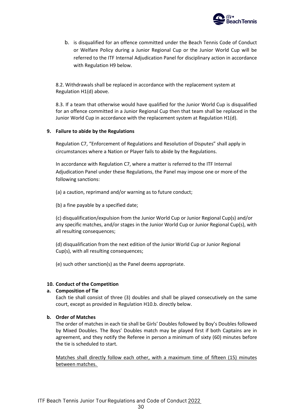

b. is disqualified for an offence committed under the Beach Tennis Code of Conduct or Welfare Policy during a Junior Regional Cup or the Junior World Cup will be referred to the ITF Internal Adjudication Panel for disciplinary action in accordance with Regulation H9 below.

8.2. Withdrawals shall be replaced in accordance with the replacement system at Regulation H1(d) above.

8.3. If a team that otherwise would have qualified for the Junior World Cup is disqualified for an offence committed in a Junior Regional Cup then that team shall be replaced in the Junior World Cup in accordance with the replacement system at Regulation H1(d).

# **9. Failure to abide by the Regulations**

Regulation C7, "Enforcement of Regulations and Resolution of Disputes" shall apply in circumstances where a Nation or Player fails to abide by the Regulations.

In accordance with Regulation C7, where a matter is referred to the ITF Internal Adjudication Panel under these Regulations, the Panel may impose one or more of the following sanctions:

(a) a caution, reprimand and/or warning as to future conduct;

(b) a fine payable by a specified date;

(c) disqualification/expulsion from the Junior World Cup or Junior Regional Cup(s) and/or any specific matches, and/or stages in the Junior World Cup or Junior Regional Cup(s), with all resulting consequences;

(d) disqualification from the next edition of the Junior World Cup or Junior Regional Cup(s), with all resulting consequences;

(e) such other sanction(s) as the Panel deems appropriate.

#### **10. Conduct of the Competition**

#### **a. Composition of Tie**

Each tie shall consist of three (3) doubles and shall be played consecutively on the same court, except as provided in Regulation H10.b. directly below.

# **b. Order of Matches**

The order of matches in each tie shall be Girls' Doubles followed by Boy's Doubles followed by Mixed Doubles. The Boys' Doubles match may be played first if both Captains are in agreement, and they notify the Referee in person a minimum of sixty (60) minutes before the tie is scheduled to start.

Matches shall directly follow each other, with a maximum time of fifteen (15) minutes between matches.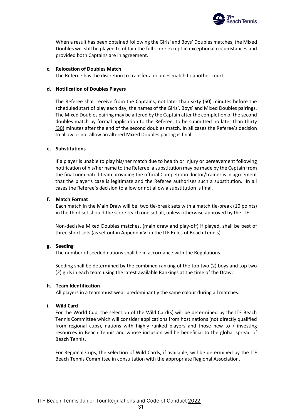

When a result has been obtained following the Girls' and Boys' Doubles matches, the Mixed Doubles will still be played to obtain the full score except in exceptional circumstances and provided both Captains are in agreement.

#### **c. Relocation of Doubles Match**

The Referee has the discretion to transfer a doubles match to another court.

#### **d. Notification of Doubles Players**

The Referee shall receive from the Captains, not later than sixty (60) minutes before the scheduled start of play each day, the names of the Girls', Boys' and Mixed Doubles pairings. The Mixed Doubles pairing may be altered by the Captain after the completion of the second doubles match by formal application to the Referee, to be submitted no later than thirty (30) minutes after the end of the second doubles match. In all cases the Referee's decision to allow or not allow an altered Mixed Doubles pairing is final.

#### **e. Substitutions**

If a player is unable to play his/her match due to health or injury or bereavement following notification of his/her name to the Referee, a substitution may be made by the Captain from the final nominated team providing the official Competition doctor/trainer is in agreement that the player's case is legitimate and the Referee authorises such a substitution. In all cases the Referee's decision to allow or not allow a substitution is final.

#### **f. Match Format**

Each match in the Main Draw will be: two tie-break sets with a match tie-break (10 points) in the third set should the score reach one set all, unless otherwise approved by the ITF.

Non-decisive Mixed Doubles matches, (main draw and play-off) if played, shall be best of three short sets (as set out in Appendix VI in the ITF Rules of Beach Tennis).

# **g. Seeding**

The number of seeded nations shall be in accordance with the Regulations.

Seeding shall be determined by the combined ranking of the top two (2) boys and top two (2) girls in each team using the latest available Rankings at the time of the Draw.

#### **h. Team Identification**

All players in a team must wear predominantly the same colour during all matches.

# **i. Wild Card**

For the World Cup, the selection of the Wild Card(s) will be determined by the ITF Beach Tennis Committee which will consider applications from host nations (not directly qualified from regional cups), nations with highly ranked players and those new to / investing resources in Beach Tennis and whose inclusion will be beneficial to the global spread of Beach Tennis.

For Regional Cups, the selection of Wild Cards, if available, will be determined by the ITF Beach Tennis Committee in consultation with the appropriate Regional Association.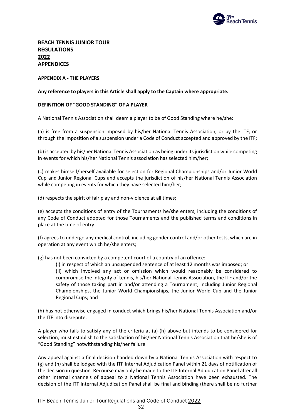

**BEACH TENNIS JUNIOR TOUR REGULATIONS 2022 APPENDICES**

# <span id="page-33-0"></span>**APPENDIX A - THE PLAYERS**

#### **Any reference to players in this Article shall apply to the Captain where appropriate.**

#### **DEFINITION OF "GOOD STANDING" OF A PLAYER**

A National Tennis Association shall deem a player to be of Good Standing where he/she:

(a) is free from a suspension imposed by his/her National Tennis Association, or by the ITF, or through the imposition of a suspension under a Code of Conduct accepted and approved by the ITF;

(b) is accepted by his/her National Tennis Association as being under its jurisdiction while competing in events for which his/her National Tennis association has selected him/her;

(c) makes himself/herself available for selection for Regional Championships and/or Junior World Cup and Junior Regional Cups and accepts the jurisdiction of his/her National Tennis Association while competing in events for which they have selected him/her;

(d) respects the spirit of fair play and non-violence at all times;

(e) accepts the conditions of entry of the Tournaments he/she enters, including the conditions of any Code of Conduct adopted for those Tournaments and the published terms and conditions in place at the time of entry.

(f) agrees to undergo any medical control, including gender control and/or other tests, which are in operation at any event which he/she enters;

(g) has not been convicted by a competent court of a country of an offence:

(i) in respect of which an unsuspended sentence of at least 12 months was imposed; or (ii) which involved any act or omission which would reasonably be considered to compromise the integrity of tennis, his/her National Tennis Association, the ITF and/or the safety of those taking part in and/or attending a Tournament, including Junior Regional Championships, the Junior World Championships, the Junior World Cup and the Junior Regional Cups; and

(h) has not otherwise engaged in conduct which brings his/her National Tennis Association and/or the ITF into disrepute.

A player who fails to satisfy any of the criteria at (a)-(h) above but intends to be considered for selection, must establish to the satisfaction of his/her National Tennis Association that he/she is of "Good Standing" notwithstanding his/her failure.

Any appeal against a final decision handed down by a National Tennis Association with respect to (g) and (h) shall be lodged with the ITF Internal Adjudication Panel within 21 days of notification of the decision in question. Recourse may only be made to the ITF Internal Adjudication Panel after all other internal channels of appeal to a National Tennis Association have been exhausted. The decision of the ITF Internal Adjudication Panel shall be final and binding (there shall be no further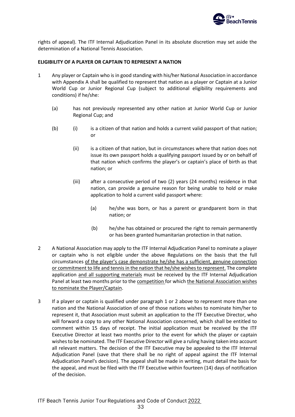

rights of appeal). The ITF Internal Adjudication Panel in its absolute discretion may set aside the determination of a National Tennis Association.

#### **ELIGIBILITY OF A PLAYER OR CAPTAIN TO REPRESENT A NATION**

- 1 Any player or Captain who is in good standing with his/her National Association in accordance with Appendix A shall be qualified to represent that nation as a player or Captain at a Junior World Cup or Junior Regional Cup (subject to additional eligibility requirements and conditions) if he/she:
	- (a) has not previously represented any other nation at Junior World Cup or Junior Regional Cup; and
	- (b) (i) is a citizen of that nation and holds a current valid passport of that nation; or
		- (ii) is a citizen of that nation, but in circumstances where that nation does not issue its own passport holds a qualifying passport issued by or on behalf of that nation which confirms the player's or captain's place of birth as that nation; or
		- (iii) after a consecutive period of two (2) years (24 months) residence in that nation, can provide a genuine reason for being unable to hold or make application to hold a current valid passport where:
			- (a) he/she was born, or has a parent or grandparent born in that nation; or
			- (b) he/she has obtained or procured the right to remain permanently or has been granted humanitarian protection in that nation.
- 2 A National Association may apply to the ITF Internal Adjudication Panel to nominate a player or captain who is not eligible under the above Regulations on the basis that the full circumstances of the player's case demonstrate he/she has a sufficient, genuine connection or commitment to life and tennis in the nation that he/she wishes to represent. The complete application and all supporting materials must be received by the ITF Internal Adjudication Panel at least two months prior to the competition for which the National Association wishes to nominate the Player/Captain.
- 3 If a player or captain is qualified under paragraph 1 or 2 above to represent more than one nation and the National Association of one of those nations wishes to nominate him/her to represent it, that Association must submit an application to the ITF Executive Director, who will forward a copy to any other National Association concerned, which shall be entitled to comment within 15 days of receipt. The initial application must be received by the ITF Executive Director at least two months prior to the event for which the player or captain wishes to be nominated. The ITF Executive Director will give a ruling having taken into account all relevant matters. The decision of the ITF Executive may be appealed to the ITF Internal Adjudication Panel (save that there shall be no right of appeal against the ITF Internal Adjudication Panel's decision). The appeal shall be made in writing, must detail the basis for the appeal, and must be filed with the ITF Executive within fourteen (14) days of notification of the decision.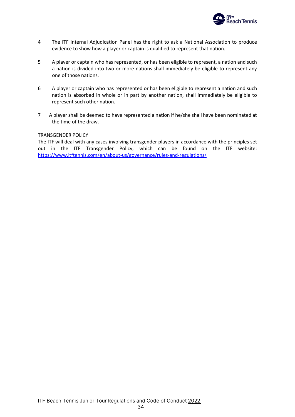

- 4 The ITF Internal Adjudication Panel has the right to ask a National Association to produce evidence to show how a player or captain is qualified to represent that nation.
- 5 A player or captain who has represented, or has been eligible to represent, a nation and such a nation is divided into two or more nations shall immediately be eligible to represent any one of those nations.
- 6 A player or captain who has represented or has been eligible to represent a nation and such nation is absorbed in whole or in part by another nation, shall immediately be eligible to represent such other nation.
- 7 A player shall be deemed to have represented a nation if he/she shall have been nominated at the time of the draw.

#### TRANSGENDER POLICY

The ITF will deal with any cases involving transgender players in accordance with the principles set out in the ITF Transgender Policy, which can be found on the ITF website: <https://www.itftennis.com/en/about-us/governance/rules-and-regulations/>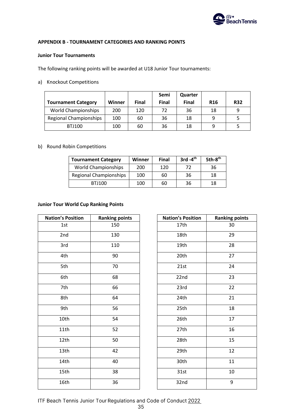

# **APPENDIX B - TOURNAMENT CATEGORIES AND RANKING POINTS**

### **Junior Tour Tournaments**

The following ranking points will be awarded at U18 Junior Tour tournaments:

a) Knockout Competitions

|                               |        |              | Semi         | Quarter      |            |            |
|-------------------------------|--------|--------------|--------------|--------------|------------|------------|
| <b>Tournament Category</b>    | Winner | <b>Final</b> | <b>Final</b> | <b>Final</b> | <b>R16</b> | <b>R32</b> |
| <b>World Championships</b>    | 200    | 120          | 72           | 36           | 18         | 9          |
| <b>Regional Championships</b> | 100    | 60           | 36           | 18           |            |            |
| <b>BTJ100</b>                 | 100    | 60           | 36           | 18           |            |            |

# b) Round Robin Competitions

| <b>Tournament Category</b>    | Winner | <b>Final</b> | $3rd - 4th$ | 5th-8 <sup>th</sup> |
|-------------------------------|--------|--------------|-------------|---------------------|
| <b>World Championships</b>    | 200    | 120          | 72          | 36                  |
| <b>Regional Championships</b> | 100    | 60           | 36          | 18                  |
| <b>BTJ100</b>                 | 100    | 60           | 36          | 18                  |

### **Junior Tour World Cup Ranking Points**

| <b>Nation's Position</b> | <b>Ranking points</b> | <b>Nation's Position</b> | <b>Ranking points</b> |
|--------------------------|-----------------------|--------------------------|-----------------------|
| 1st                      | 150                   | 17th                     | 30                    |
| 2nd                      | 130                   | 18th                     | 29                    |
| 3rd                      | 110                   | 19th                     | 28                    |
| 4th                      | 90                    | 20th                     | 27                    |
| 5th                      | 70                    | 21st                     | 24                    |
| 6th                      | 68                    | 22nd                     | 23                    |
| 7th                      | 66                    | 23rd                     | 22                    |
| 8th                      | 64                    | 24th                     | 21                    |
| 9th                      | 56                    | 25th                     | 18                    |
| 10th                     | 54                    | 26th                     | 17                    |
| 11th                     | 52                    | 27th                     | 16                    |
| 12th                     | 50                    | 28th                     | 15                    |
| 13th                     | 42                    | 29th                     | 12                    |
| 14th                     | 40                    | 30th                     | 11                    |
| 15th                     | 38                    | 31st                     | 10                    |
| 16th                     | 36                    | 32nd                     | 9                     |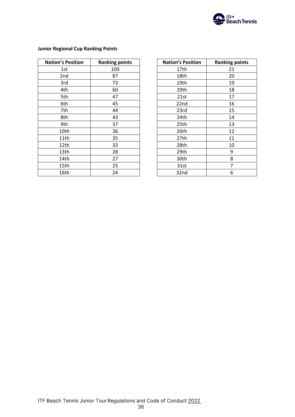

| <b>Nation's Position</b> | <b>Ranking points</b> | <b>Nation's Position</b> | <b>Ranking points</b> |
|--------------------------|-----------------------|--------------------------|-----------------------|
| 1st                      | 100                   | 17th                     | 21                    |
| 2nd                      | 87                    | 18th                     | 20                    |
| 3rd                      | 73                    | 19th                     | 19                    |
| 4th                      | 60                    | 20th                     | 18                    |
| 5th                      | 47                    | 21st                     | 17                    |
| 6th                      | 45                    | 22nd                     | 16                    |
| 7th                      | 44                    | 23rd                     | 15                    |
| 8th                      | 43                    | 24th                     | 14                    |
| 9th                      | 37                    | 25th                     | 13                    |
| 10th                     | 36                    | 26th                     | 12                    |
| 11th                     | 35                    | 27th                     | 11                    |
| 12th                     | 33                    | 28th                     | 10                    |
| 13th                     | 28                    | 29th                     | 9                     |
| 14th                     | 27                    | 30th                     | 8                     |
| 15th                     | 25                    | 31st                     | 7                     |
| 16th                     | 24                    | 32nd                     | 6                     |

# **Junior Regional Cup Ranking Points**

| 's Position | <b>Ranking points</b> | <b>Nation's Position</b> | <b>Ranking points</b> |
|-------------|-----------------------|--------------------------|-----------------------|
| 1st         | 100                   | 17th                     | 21                    |
| 2nd         | 87                    | 18th                     | 20                    |
| 3rd         | 73                    | 19th                     | 19                    |
| 4th         | 60                    | 20th                     | 18                    |
| 5th         | 47                    | 21st                     | 17                    |
| 6th         | 45                    | 22nd                     | 16                    |
| 7th         | 44                    | 23rd                     | 15                    |
| 8th         | 43                    | 24th                     | 14                    |
| 9th         | 37                    | 25th                     | 13                    |
| I0th        | 36                    | 26th                     | 12                    |
| L1th        | 35                    | 27th                     | 11                    |
| L2th        | 33                    | 28th                     | 10                    |
| L3th        | 28                    | 29th                     | 9                     |
| L4th        | 27                    | 30th                     | 8                     |
| L5th        | 25                    | 31st                     | $\overline{7}$        |
| L6th        | 24                    | 32nd                     | 6                     |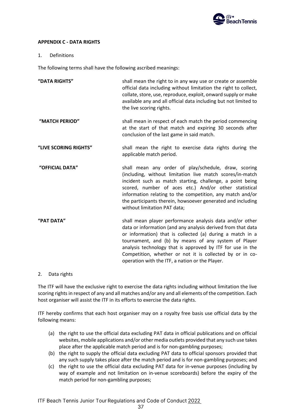

# **APPENDIX C - DATA RIGHTS**

# 1. Definitions

The following terms shall have the following ascribed meanings:

| "DATA RIGHTS"         | shall mean the right to in any way use or create or assemble<br>official data including without limitation the right to collect,<br>collate, store, use, reproduce, exploit, onward supply or make<br>available any and all official data including but not limited to<br>the live scoring rights.                                                                                                                         |
|-----------------------|----------------------------------------------------------------------------------------------------------------------------------------------------------------------------------------------------------------------------------------------------------------------------------------------------------------------------------------------------------------------------------------------------------------------------|
| "MATCH PERIOD"        | shall mean in respect of each match the period commencing<br>at the start of that match and expiring 30 seconds after<br>conclusion of the last game in said match.                                                                                                                                                                                                                                                        |
| "LIVE SCORING RIGHTS" | shall mean the right to exercise data rights during the<br>applicable match period.                                                                                                                                                                                                                                                                                                                                        |
| "OFFICIAL DATA"       | shall mean any order of play/schedule, draw, scoring<br>(including, without limitation live match scores/in-match<br>incident such as match starting, challenge, a point being<br>scored, number of aces etc.) And/or other statistical<br>information relating to the competition, any match and/or<br>the participants therein, howsoever generated and including<br>without limitation PAT data;                        |
| "PAT DATA"            | shall mean player performance analysis data and/or other<br>data or information (and any analysis derived from that data<br>or information) that is collected (a) during a match in a<br>tournament, and (b) by means of any system of Player<br>analysis technology that is approved by ITF for use in the<br>Competition, whether or not it is collected by or in co-<br>operation with the ITF, a nation or the Player. |

2. Data rights

The ITF will have the exclusive right to exercise the data rights including without limitation the live scoring rights in respect of any and all matches and/or any and all elements of the competition. Each host organiser will assist the ITF in its efforts to exercise the data rights.

ITF hereby confirms that each host organiser may on a royalty free basis use official data by the following means:

- (a) the right to use the official data excluding PAT data in official publications and on official websites, mobile applications and/or other media outlets provided that any such use takes place after the applicable match period and is for non-gambling purposes;
- (b) the right to supply the official data excluding PAT data to official sponsors provided that any such supply takes place after the match period and is for non-gambling purposes; and
- (c) the right to use the official data excluding PAT data for in-venue purposes (including by way of example and not limitation on in-venue scoreboards) before the expiry of the match period for non-gambling purposes;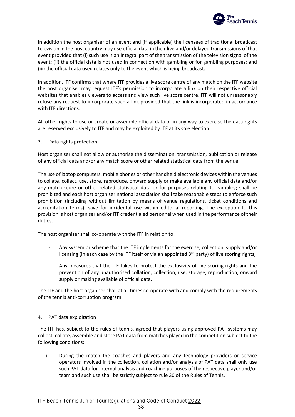

In addition the host organiser of an event and (if applicable) the licensees of traditional broadcast television in the host country may use official data in their live and/or delayed transmissions of that event provided that (i) such use is an integral part of the transmission of the television signal of the event; (ii) the official data is not used in connection with gambling or for gambling purposes; and (iii) the official data used relates only to the event which is being broadcast.

In addition, ITF confirms that where ITF provides a live score centre of any match on the ITF website the host organiser may request ITF's permission to incorporate a link on their respective official websites that enables viewers to access and view such live score centre. ITF will not unreasonably refuse any request to incorporate such a link provided that the link is incorporated in accordance with ITF directions.

All other rights to use or create or assemble official data or in any way to exercise the data rights are reserved exclusively to ITF and may be exploited by ITF at its sole election.

3. Data rights protection

Host organiser shall not allow or authorise the dissemination, transmission, publication or release of any official data and/or any match score or other related statistical data from the venue.

The use of laptop computers, mobile phones or other handheld electronic devices within the venues to collate, collect, use, store, reproduce, onward supply or make available any official data and/or any match score or other related statistical data or for purposes relating to gambling shall be prohibited and each host organiser national association shall take reasonable steps to enforce such prohibition (including without limitation by means of venue regulations, ticket conditions and accreditation terms), save for incidental use within editorial reporting. The exception to this provision is host organiser and/or ITF credentialed personnel when used in the performance of their duties.

The host organiser shall co-operate with the ITF in relation to:

- Any system or scheme that the ITF implements for the exercise, collection, supply and/or licensing (in each case by the ITF itself or via an appointed  $3<sup>rd</sup>$  party) of live scoring rights;
- Any measures that the ITF takes to protect the exclusivity of live scoring rights and the prevention of any unauthorised collation, collection, use, storage, reproduction, onward supply or making available of official data.

The ITF and the host organiser shall at all times co-operate with and comply with the requirements of the tennis anti-corruption program.

# 4. PAT data exploitation

The ITF has, subject to the rules of tennis, agreed that players using approved PAT systems may collect, collate, assemble and store PAT data from matches played in the competition subject to the following conditions:

i. During the match the coaches and players and any technology providers or service operators involved in the collection, collation and/or analysis of PAT data shall only use such PAT data for internal analysis and coaching purposes of the respective player and/or team and such use shall be strictly subject to rule 30 of the Rules of Tennis.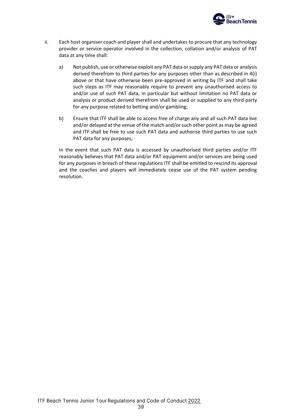

- ii. Each host organiser coach and player shall and undertakes to procure that any technology provider or service operator involved in the collection, collation and/or analysis of PAT data at any time shall:
	- a) Not publish, use or otherwise exploit any PAT data or supply any PAT data or analysis derived therefrom to third parties for any purposes other than as described in 4(i) above or that have otherwise been pre-approved in writing by ITF and shall take such steps as ITF may reasonably require to prevent any unauthorised access to and/or use of such PAT data, in particular but without limitation no PAT data or analysis or product derived therefrom shall be used or supplied to any third party for any purpose related to betting and/or gambling;
	- b) Ensure that ITF shall be able to access free of charge any and all such PAT data live and/or delayed at the venue of the match and/or such other point as may be agreed and ITF shall be free to use such PAT data and authorise third parties to use such PAT data for any purposes;

In the event that such PAT data is accessed by unauthorised third parties and/or ITF reasonably believes that PAT data and/or PAT equipment and/or services are being used for any purposes in breach of these regulations ITF shall be entitled to rescind its approval and the coaches and players will immediately cease use of the PAT system pending resolution.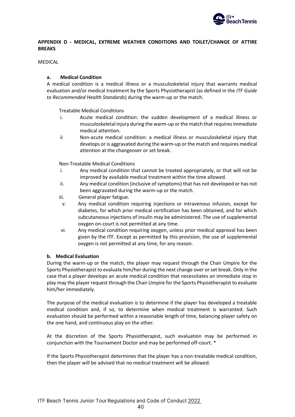

# **APPENDIX D - MEDICAL, EXTREME WEATHER CONDITIONS AND TOILET/CHANGE OF ATTIRE BREAKS**

### MEDICAL

# **a. Medical Condition**

A medical condition is a medical illness or a musculoskeletal injury that warrants medical evaluation and/or medical treatment by the Sports Physiotherapist (as defined in the *ITF Guide to Recommended Health Standards*) during the warm-up or the match.

Treatable Medical Conditions

- i. Acute medical condition: the sudden development of a medical illness or musculoskeletal injury during the warm-up or the match that requires immediate medical attention.
- ii Non-acute medical condition: a medical illness or musculoskeletal injury that develops or is aggravated during the warm-up or the match and requires medical attention at the changeover or set break.

Non-Treatable Medical Conditions

- i. Any medical condition that cannot be treated appropriately, or that will not be improved by available medical treatment within the time allowed.
- ii. Any medical condition (inclusive of symptoms) that has not developed or has not been aggravated during the warm-up or the match.
- iii. General player fatigue.
- v. Any medical condition requiring injections or intravenous infusion, except for diabetes, for which prior medical certification has been obtained, and for which subcutaneous injections of insulin may be administered. The use of supplemental oxygen on-court is not permitted at any time.
- vi. Any medical condition requiring oxygen, unless prior medical approval has been given by the ITF. Except as permitted by this provision, the use of supplemental oxygen is not permitted at any time, for any reason.

# **b. Medical Evaluation**

During the warm-up or the match, the player may request through the Chair Umpire for the Sports Physiotherapist to evaluate him/her during the next change over or set break. Only in the case that a player develops an acute medical condition that necessitates an immediate stop in play may the player request through the Chair Umpire for the Sports Physiotherapist to evaluate him/her immediately.

The purpose of the medical evaluation is to determine if the player has developed a treatable medical condition and, if so, to determine when medical treatment is warranted. Such evaluation should be performed within a reasonable length of time, balancing player safety on the one hand, and continuous play on the other.

At the discretion of the Sports Physiotherapist, such evaluation may be performed in conjunction with the Tournament Doctor and may be performed off-court. \*

If the Sports Physiotherapist determines that the player has a non-treatable medical condition, then the player will be advised that no medical treatment will be allowed.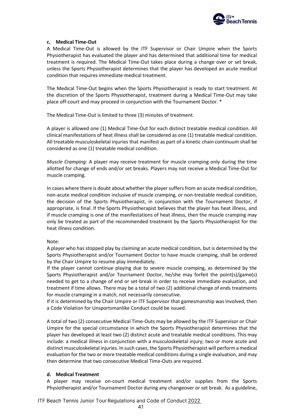

# **c. Medical Time-Out**

A Medical Time-Out is allowed by the ITF Supervisor or Chair Umpire when the Sports Physiotherapist has evaluated the player and has determined that additional time for medical treatment is required. The Medical Time-Out takes place during a change over or set break, unless the Sports Physiotherapist determines that the player has developed an acute medical condition that requires immediate medical treatment.

The Medical Time-Out begins when the Sports Physiotherapist is ready to start treatment. At the discretion of the Sports Physiotherapist, treatment during a Medical Time-Out may take place off-court and may proceed in conjunction with the Tournament Doctor. \*

The Medical Time-Out is limited to three (3) minutes of treatment.

A player is allowed one (1) Medical Time-Out for each distinct treatable medical condition. All clinical manifestations of heat illness shall be considered as one (1) treatable medical condition. All treatable musculoskeletal injuries that manifest as part of a kinetic chain continuum shall be considered as one (1) treatable medical condition.

*Muscle Cramping:* A player may receive treatment for muscle cramping only during the time allotted for change of ends and/or set breaks. Players may not receive a Medical Time-Out for muscle cramping.

In cases where there is doubt about whether the player suffers from an acute medical condition, non-acute medical condition inclusive of muscle cramping, or non-treatable medical condition, the decision of the Sports Physiotherapist, in conjunction with the Tournament Doctor, if appropriate, is final. If the Sports Physiotherapist believes that the player has heat illness, and if muscle cramping is one of the manifestations of heat illness, then the muscle cramping may only be treated as part of the recommended treatment by the Sports Physiotherapist for the heat illness condition.

# Note:

A player who has stopped play by claiming an acute medical condition, but is determined by the Sports Physiotherapist and/or Tournament Doctor to have muscle cramping, shall be ordered by the Chair Umpire to resume play immediately.

If the player cannot continue playing due to severe muscle cramping, as determined by the Sports Physiotherapist and/or Tournament Doctor, he/she may forfeit the point(s)/game(s) needed to get to a change of end or set-break in order to receive immediate evaluation, and treatment if time allows. There may be a total of two (2) additional change of ends treatments for muscle cramping in a match, not necessarily consecutive.

If it is determined by the Chair Umpire or ITF Supervisor that gamesmanship was involved, then a Code Violation for Unsportsmanlike Conduct could be issued.

A total of two (2) consecutive Medical Time-Outs may be allowed by the ITF Supervisor or Chair Umpire for the special circumstance in which the Sports Physiotherapist determines that the player has developed at least two (2) distinct acute and treatable medical conditions. This may include: a medical illness in conjunction with a musculoskeletal injury; two or more acute and distinct musculoskeletal injuries. In such cases, the Sports Physiotherapist will perform a medical evaluation for the two or more treatable medical conditions during a single evaluation, and may then determine that two consecutive Medical Time-Outs are required.

# **d. Medical Treatment**

A player may receive on-court medical treatment and/or supplies from the Sports Physiotherapist and/or Tournament Doctor during any changeover or set break. As a guideline,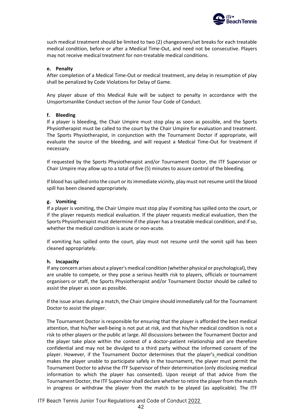

such medical treatment should be limited to two (2) changeovers/set breaks for each treatable medical condition, before or after a Medical Time-Out, and need not be consecutive. Players may not receive medical treatment for non-treatable medical conditions.

### **e. Penalty**

After completion of a Medical Time-Out or medical treatment, any delay in resumption of play shall be penalized by Code Violations for Delay of Game.

Any player abuse of this Medical Rule will be subject to penalty in accordance with the Unsportsmanlike Conduct section of the Junior Tour Code of Conduct.

### **f. Bleeding**

If a player is bleeding, the Chair Umpire must stop play as soon as possible, and the Sports Physiotherapist must be called to the court by the Chair Umpire for evaluation and treatment. The Sports Physiotherapist, in conjunction with the Tournament Doctor if appropriate, will evaluate the source of the bleeding, and will request a Medical Time-Out for treatment if necessary.

If requested by the Sports Physiotherapist and/or Tournament Doctor, the ITF Supervisor or Chair Umpire may allow up to a total of five (5) minutes to assure control of the bleeding.

If blood has spilled onto the court or its immediate vicinity, play must not resume until the blood spill has been cleaned appropriately.

### **g. Vomiting**

If a player is vomiting, the Chair Umpire must stop play if vomiting has spilled onto the court, or if the player requests medical evaluation. If the player requests medical evaluation, then the Sports Physiotherapist must determine if the player has a treatable medical condition, and if so, whether the medical condition is acute or non-acute.

If vomiting has spilled onto the court, play must not resume until the vomit spill has been cleaned appropriately.

### **h. Incapacity**

If any concern arises about a player's medical condition (whether physical or psychological), they are unable to compete, or they pose a serious health risk to players, officials or tournament organisers or staff, the Sports Physiotherapist and/or Tournament Doctor should be called to assist the player as soon as possible.

If the issue arises during a match, the Chair Umpire should immediately call for the Tournament Doctor to assist the player.

The Tournament Doctor is responsible for ensuring that the player is afforded the best medical attention, that his/her well-being is not put at risk, and that his/her medical condition is not a risk to other players or the public at large. All discussions between the Tournament Doctor and the player take place within the context of a doctor-patient relationship and are therefore confidential and may not be divulged to a third party without the informed consent of the player. However, if the Tournament Doctor determines that the player's medical condition makes the player unable to participate safely in the tournament, the player must permit the Tournament Doctor to advise the ITF Supervisor of their determination (only disclosing medical information to which the player has consented). Upon receipt of that advice from the Tournament Doctor, the ITF Supervisor shall declare whether to retire the player from the match in progress or withdraw the player from the match to be played (as applicable). The ITF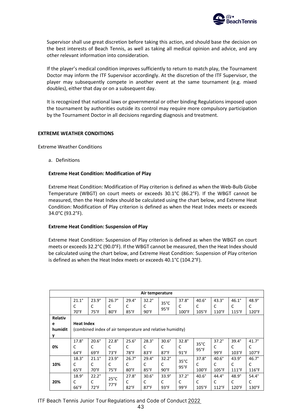

Supervisor shall use great discretion before taking this action, and should base the decision on the best interests of Beach Tennis, as well as taking all medical opinion and advice, and any other relevant information into consideration.

If the player's medical condition improves sufficiently to return to match play, the Tournament Doctor may inform the ITF Supervisor accordingly. At the discretion of the ITF Supervisor, the player may subsequently compete in another event at the same tournament (e.g. mixed doubles), either that day or on a subsequent day.

It is recognized that national laws or governmental or other binding Regulations imposed upon the tournament by authorities outside its control may require more compulsory participation by the Tournament Doctor in all decisions regarding diagnosis and treatment.

### **EXTREME WEATHER CONDITIONS**

Extreme Weather Conditions

a. Definitions

### **Extreme Heat Condition: Modification of Play**

Extreme Heat Condition: Modification of Play criterion is defined as when the Web-Bulb Globe Temperature (WBGT) on court meets or exceeds 30.1°C (86.2°F). If the WBGT cannot be measured, then the Heat Index should be calculated using the chart below, and Extreme Heat Condition: Modification of Play criterion is defined as when the Heat Index meets or exceeds 34.0°C (93.2°F).

### **Extreme Heat Condition: Suspension of Play**

Extreme Heat Condition: Suspension of Play criterion is defined as when the WBGT on court meets or exceeds 32.2°C (90.0°F). If the WBGT cannot be measured, then the Heat Index should be calculated using the chart below, and Extreme Heat Condition: Suspension of Play criterion is defined as when the Heat Index meets or exceeds 40.1°C (104.2°F).

|                | Air temperature |                                                           |                |                |                |                |                 |                 |                 |                 |                 |
|----------------|-----------------|-----------------------------------------------------------|----------------|----------------|----------------|----------------|-----------------|-----------------|-----------------|-----------------|-----------------|
|                | $21.1^\circ$    | $23.9^\circ$                                              | $26.7^\circ$   | $29.4^{\circ}$ | $32.2^\circ$   | $35^{\circ}$ C | $37.8^\circ$    | $40.6^\circ$    | $43.3^\circ$    | $46.1^\circ$    | $48.9^\circ$    |
|                | C               | C                                                         | C              | C              | C              | $95^{\circ}$ F | C               | C               | C               | C               | C               |
|                | $70^{\circ}$ F  | $75^{\circ}$ F                                            | $80^{\circ}$ F | $85^{\circ}$ F | $90^{\circ}$ F |                | $100^{\circ}$ F | $105^{\circ}$ F | $110^{\circ}$ F | 115°F           | $120^{\circ}$ F |
| <b>Relativ</b> |                 |                                                           |                |                |                |                |                 |                 |                 |                 |                 |
| e              |                 | <b>Heat Index</b>                                         |                |                |                |                |                 |                 |                 |                 |                 |
| humidit        |                 | (combined index of air temperature and relative humidity) |                |                |                |                |                 |                 |                 |                 |                 |
| ۷              |                 |                                                           |                |                |                |                |                 |                 |                 |                 |                 |
|                | $17.8^\circ$    | $20.6^\circ$                                              | $22.8^\circ$   | $25.6^\circ$   | $28.3^\circ$   | $30.6^\circ$   | $32.8^\circ$    | $35^{\circ}$ C  | $37.2^\circ$    | $39.4^\circ$    | $41.7^\circ$    |
| 0%             | C               | C                                                         | C              | C              | C              | C              | C               | $95^{\circ}$ F  | C               | С               | C               |
|                | $64^{\circ}F$   | $69^{\circ}F$                                             | $73^{\circ}F$  | 78°F           | $83^{\circ}$ F | $87°$ F        | $91^{\circ}$ F  |                 | $99^{\circ}$ F  | 103°F           | $107^{\circ}$ F |
|                | $18.3^\circ$    | $21.1^\circ$                                              | $23.9^\circ$   | $26.7^{\circ}$ | $29.4^\circ$   | $32.2^\circ$   | $35^{\circ}$ C  | $37.8^\circ$    | $40.6^\circ$    | $43.9^\circ$    | $46.7^\circ$    |
| 10%            |                 | C                                                         | C              | C              | C              | C              | $95^{\circ}$ F  | C               | C               | C               | C               |
|                | $65^{\circ}$ F  | $70^{\circ}$ F                                            | $75^{\circ}F$  | $80^{\circ}$ F | $85^{\circ}$ F | $90^\circ F$   |                 | $100^{\circ}$ F | $105^{\circ}$ F | $111^{\circ}$ F | 116°F           |
|                | $18.9^\circ$    | $22.2^\circ$                                              | $25^{\circ}$ C | $27.8^\circ$   | $30.6^\circ$   | $33.9^\circ$   | $37.2^\circ$    | $40.6^\circ$    | $44.4^\circ$    | $48.9^\circ$    | $54.4^\circ$    |
| 20%            |                 |                                                           | $77^{\circ}$ F | C              | C              | C              | C               | C               | C               |                 | C               |
|                | $66^{\circ}$ F  | $72^{\circ}$ F                                            |                | $82^{\circ}$ F | $87°$ F        | $93^\circ F$   | $99^{\circ}$ F  | $105^{\circ}$ F | $112^{\circ}F$  | $120^{\circ}$ F | $130^\circ$ F   |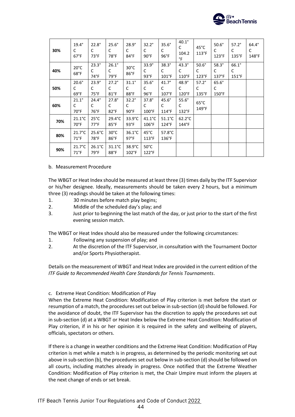

| 30% | $19.4^\circ$<br>C<br>$67^{\circ}$ F | $22.8^\circ$<br>C<br>$73^{\circ}F$  | $25.6^\circ$<br>C<br>78°F           | $28.9^\circ$<br>C<br>$84^{\circ}$ F | $32.2^\circ$<br>C<br>$90^\circ F$    | $35.6^\circ$<br>C<br>$96^{\circ}$ F  | $40.1^\circ$<br>C<br>104.2<br>$\degree$ F | $45^{\circ}$ C<br>113°F              | $50.6^\circ$<br>C<br>$123^{\circ}F$  | $57.2^\circ$<br>C<br>$135^{\circ}$ F | $64.4^\circ$<br>C<br>148°F |
|-----|-------------------------------------|-------------------------------------|-------------------------------------|-------------------------------------|--------------------------------------|--------------------------------------|-------------------------------------------|--------------------------------------|--------------------------------------|--------------------------------------|----------------------------|
| 40% | $20^{\circ}$ C<br>68°F              | $23.3^\circ$<br>C<br>74°F           | $26.1^\circ$<br>C<br>$79^{\circ}F$  | $30^{\circ}$ C<br>86°F              | $33.9^\circ$<br>C<br>$93^{\circ}F$   | $38.3^\circ$<br>C<br>$101^{\circ}F$  | $43.3^\circ$<br>C<br>$110^{\circ}$ F      | $50.6^\circ$<br>C<br>$123^{\circ}F$  | $58.3^\circ$<br>C<br>$137^{\circ}F$  | $66.1^\circ$<br>C<br>$151^{\circ}$ F |                            |
| 50% | $20.6^\circ$<br>C<br>69°F           | $23.9^\circ$<br>C<br>$75^{\circ}$ F | $27.2^\circ$<br>C<br>$81^\circ$ F   | $31.1^\circ$<br>C<br>88°F           | $35.6^\circ$<br>C<br>$96^{\circ}$ F  | $41.7^\circ$<br>C<br>$107^{\circ}$ F | $48.9^\circ$<br>C<br>$120^{\circ}$ F      | $57.2^\circ$<br>C<br>$135^{\circ}$ F | $65.6^\circ$<br>C<br>$150^{\circ}$ F |                                      |                            |
| 60% | $21.1^\circ$<br>C<br>$70^{\circ}$ F | $24.4^\circ$<br>C<br>$76^{\circ}$ F | $27.8^\circ$<br>C<br>$82^{\circ}$ F | $32.2^\circ$<br>C<br>$90^{\circ}$ F | $37.8^\circ$<br>C<br>$100^{\circ}$ F | 45.6°<br>C<br>$114^{\circ}$ F        | $55.6^\circ$<br>C<br>$132^{\circ}F$       | $65^{\circ}$ C<br>149°F              |                                      |                                      |                            |
| 70% | $21.1^{\circ}$ C<br>$70^{\circ}$ F  | $25^{\circ}$ C<br>$77^{\circ}$ F    | $29.4^{\circ}$ C<br>$85^{\circ}$ F  | $33.9^{\circ}$ C<br>$93^{\circ}F$   | $41.1^{\circ}$ C<br>106°F            | $51.1^{\circ}$ C<br>$124^{\circ}F$   | $62.2^{\circ}$ C<br>$144^{\circ}$ F       |                                      |                                      |                                      |                            |
| 80% | $21.7^{\circ}$ C<br>$71^{\circ}$ F  | $25.6^{\circ}$ C<br>78°F            | $30^{\circ}$ C<br>$86^{\circ}$ F    | $36.1^{\circ}$ C<br>$97^{\circ}F$   | $45^{\circ}$ C<br>113°F              | 57.8°C<br>136°F                      |                                           |                                      |                                      |                                      |                            |
| 90% | $21.7^{\circ}$ C<br>$71^{\circ}$ F  | $26.1^{\circ}$ C<br>$79^{\circ}$ F  | $31.1^{\circ}$ C<br>$88^{\circ}$ F  | 38.9°C<br>$102^{\circ}$ F           | $50^{\circ}$ C<br>$122^{\circ}$ F    |                                      |                                           |                                      |                                      |                                      |                            |

### b. Measurement Procedure

The WBGT or Heat Index should be measured at least three (3) times daily by the ITF Supervisor or his/her designee. Ideally, measurements should be taken every 2 hours, but a minimum three (3) readings should be taken at the following times:

- 1. 30 minutes before match play begins;
- 2. Middle of the scheduled day's play; and
- 3. Just prior to beginning the last match of the day, or just prior to the start of the first evening session match.

The WBGT or Heat Index should also be measured under the following circumstances:

- 1. Following any suspension of play; and
- 2. At the discretion of the ITF Supervisor, in consultation with the Tournament Doctor and/or Sports Physiotherapist.

Details on the measurement of WBGT and Heat Index are provided in the current edition of the *ITF Guide to Recommended Health Care Standards for Tennis Tournaments*.

c. Extreme Heat Condition: Modification of Play

When the Extreme Heat Condition: Modification of Play criterion is met before the start or resumption of a match, the procedures set out below in sub-section (d) should be followed. For the avoidance of doubt, the ITF Supervisor has the discretion to apply the procedures set out in sub-section (d) at a WBGT or Heat Index below the Extreme Heat Condition: Modification of Play criterion, if in his or her opinion it is required in the safety and wellbeing of players, officials, spectators or others.

If there is a change in weather conditions and the Extreme Heat Condition: Modification of Play criterion is met while a match is in progress, as determined by the periodic monitoring set out above in sub-section (b), the procedures set out below in sub-section (d) should be followed on all courts, including matches already in progress. Once notified that the Extreme Weather Condition: Modification of Play criterion is met, the Chair Umpire must inform the players at the next change of ends or set break.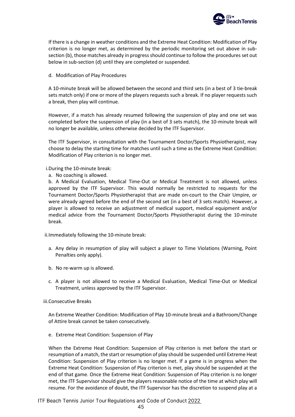

If there is a change in weather conditions and the Extreme Heat Condition: Modification of Play criterion is no longer met, as determined by the periodic monitoring set out above in subsection (b), those matches already in progress should continue to follow the procedures set out below in sub-section (d) until they are completed or suspended.

d. Modification of Play Procedures

A 10-minute break will be allowed between the second and third sets (in a best of 3 tie-break sets match only) if one or more of the players requests such a break. If no player requests such a break, then play will continue.

However, if a match has already resumed following the suspension of play and one set was completed before the suspension of play (in a best of 3 sets match), the 10-minute break will no longer be available, unless otherwise decided by the ITF Supervisor.

The ITF Supervisor, in consultation with the Tournament Doctor/Sports Physiotherapist, may choose to delay the starting time for matches until such a time as the Extreme Heat Condition: Modification of Play criterion is no longer met.

i.During the 10-minute break:

a. No coaching is allowed.

b. A Medical Evaluation, Medical Time-Out or Medical Treatment is not allowed, unless approved by the ITF Supervisor. This would normally be restricted to requests for the Tournament Doctor/Sports Physiotherapist that are made on-court to the Chair Umpire, or were already agreed before the end of the second set (in a best of 3 sets match). However, a player is allowed to receive an adjustment of medical support, medical equipment and/or medical advice from the Tournament Doctor/Sports Physiotherapist during the 10-minute break.

ii.Immediately following the 10-minute break:

- a. Any delay in resumption of play will subject a player to Time Violations (Warning, Point Penalties only apply).
- b. No re-warm up is allowed.
- c. A player is not allowed to receive a Medical Evaluation, Medical Time-Out or Medical Treatment, unless approved by the ITF Supervisor.

iii.Consecutive Breaks

An Extreme Weather Condition: Modification of Play 10-minute break and a Bathroom/Change of Attire break cannot be taken consecutively.

e. Extreme Heat Condition: Suspension of Play

When the Extreme Heat Condition: Suspension of Play criterion is met before the start or resumption of a match, the start or resumption of play should be suspended until Extreme Heat Condition: Suspension of Play criterion is no longer met. If a game is in progress when the Extreme Heat Condition: Suspension of Play criterion is met, play should be suspended at the end of that game. Once the Extreme Heat Condition: Suspension of Play criterion is no longer met, the ITF Supervisor should give the players reasonable notice of the time at which play will resume. For the avoidance of doubt, the ITF Supervisor has the discretion to suspend play at a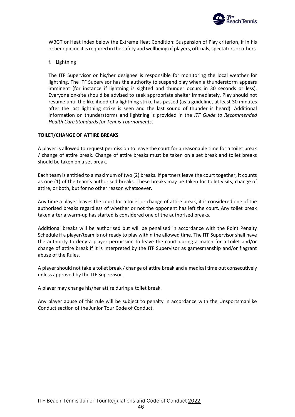

WBGT or Heat Index below the Extreme Heat Condition: Suspension of Play criterion, if in his or her opinion it is required in the safety and wellbeing of players, officials, spectators or others.

f. Lightning

The ITF Supervisor or his/her designee is responsible for monitoring the local weather for lightning. The ITF Supervisor has the authority to suspend play when a thunderstorm appears imminent (for instance if lightning is sighted and thunder occurs in 30 seconds or less). Everyone on-site should be advised to seek appropriate shelter immediately. Play should not resume until the likelihood of a lightning strike has passed (as a guideline, at least 30 minutes after the last lightning strike is seen and the last sound of thunder is heard). Additional information on thunderstorms and lightning is provided in the *ITF Guide to Recommended Health Care Standards for Tennis Tournaments*.

### **TOILET/CHANGE OF ATTIRE BREAKS**

A player is allowed to request permission to leave the court for a reasonable time for a toilet break / change of attire break. Change of attire breaks must be taken on a set break and toilet breaks should be taken on a set break.

Each team is entitled to a maximum of two (2) breaks. If partners leave the court together, it counts as one (1) of the team's authorised breaks. These breaks may be taken for toilet visits, change of attire, or both, but for no other reason whatsoever.

Any time a player leaves the court for a toilet or change of attire break, it is considered one of the authorised breaks regardless of whether or not the opponent has left the court. Any toilet break taken after a warm-up has started is considered one of the authorised breaks.

Additional breaks will be authorised but will be penalised in accordance with the Point Penalty Schedule if a player/team is not ready to play within the allowed time. The ITF Supervisor shall have the authority to deny a player permission to leave the court during a match for a toilet and/or change of attire break if it is interpreted by the ITF Supervisor as gamesmanship and/or flagrant abuse of the Rules.

A player should not take a toilet break / change of attire break and a medical time out consecutively unless approved by the ITF Supervisor.

A player may change his/her attire during a toilet break.

Any player abuse of this rule will be subject to penalty in accordance with the Unsportsmanlike Conduct section of the Junior Tour Code of Conduct.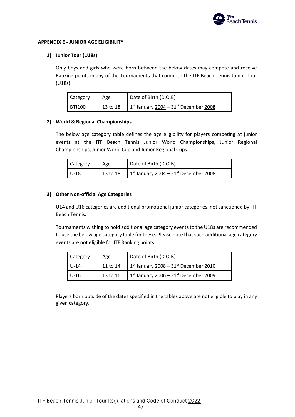

### **APPENDIX E - JUNIOR AGE ELIGIBILITY**

### **1) Junior Tour (U18s)**

Only boys and girls who were born between the below dates may compete and receive Ranking points in any of the Tournaments that comprise the ITF Beach Tennis Junior Tour (U18s):

| Category | Age      | Date of Birth (D.O.B)                                           |
|----------|----------|-----------------------------------------------------------------|
| BTJ100   | 13 to 18 | 1 <sup>st</sup> January $2004 - 31$ <sup>st</sup> December 2008 |

### **2) World & Regional Championships**

The below age category table defines the age eligibility for players competing at junior events at the ITF Beach Tennis Junior World Championships, Junior Regional Championships, Junior World Cup and Junior Regional Cups.

| <b>Category</b> | Age        | Date of Birth (D.O.B)                                  |
|-----------------|------------|--------------------------------------------------------|
| l U-18          | $13$ to 18 | $1^{st}$ January 2004 – 31 <sup>st</sup> December 2008 |

### **3) Other Non-official Age Categories**

U14 and U16 categories are additional promotional junior categories, not sanctioned by ITF Beach Tennis.

Tournaments wishing to hold additional age category events to the U18s are recommended to use the below age category table for these. Please note that such additional age category events are not eligible for ITF Ranking points.

| Category | Age      | Date of Birth (D.O.B)                     |
|----------|----------|-------------------------------------------|
| $U - 14$ | 11 to 14 | $1st$ January $2008 - 31st$ December 2010 |
| $U-16$   | 13 to 16 | $1st$ January $2006 - 31st$ December 2009 |

Players born outside of the dates specified in the tables above are not eligible to play in any given category.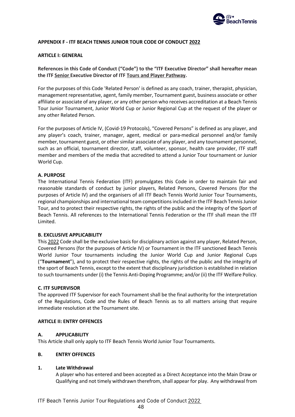

# **APPENDIX F - ITF BEACH TENNIS JUNIOR TOUR CODE OF CONDUCT 2022**

### **ARTICLE I: GENERAL**

**References in this Code of Conduct ("Code") to the "ITF Executive Director" shall hereafter mean the ITF Senior Executive Director of ITF Tours and Player Pathway.**

For the purposes of this Code 'Related Person' is defined as any coach, trainer, therapist, physician, management representative, agent, family member, Tournament guest, business associate or other affiliate or associate of any player, or any other person who receives accreditation at a Beach Tennis Tour Junior Tournament, Junior World Cup or Junior Regional Cup at the request of the player or any other Related Person.

For the purposes of Article IV, (Covid-19 Protocols), "Covered Persons" is defined as any player, and any player's coach, trainer, manager, agent, medical or para-medical personnel and/or family member, tournament guest, or other similar associate of any player, and any tournament personnel, such as an official, tournament director, staff, volunteer, sponsor, health care provider, ITF staff member and members of the media that accredited to attend a Junior Tour tournament or Junior World Cup.

### **A. PURPOSE**

The International Tennis Federation (ITF) promulgates this Code in order to maintain fair and reasonable standards of conduct by junior players, Related Persons, Covered Persons (for the purposes of Article IV) and the organisers of all ITF Beach Tennis World Junior Tour Tournaments, regional championships and international team competitions included in the ITF Beach Tennis Junior Tour, and to protect their respective rights, the rights of the public and the integrity of the Sport of Beach Tennis. All references to the International Tennis Federation or the ITF shall mean the ITF Limited.

# **B. EXCLUSIVE APPLICABILITY**

This 2022 Code shall be the exclusive basis for disciplinary action against any player, Related Person, Covered Persons (for the purposes of Article IV) or Tournament in the ITF sanctioned Beach Tennis World Junior Tour tournaments including the Junior World Cup and Junior Regional Cups ("**Tournament**"), and to protect their respective rights, the rights of the public and the integrity of the sport of Beach Tennis, except to the extent that disciplinary jurisdiction is established in relation to such tournaments under (i) the Tennis Anti-Doping Programme; and/or (ii) the ITF Welfare Policy.

### **C. ITF SUPERVISOR**

The approved ITF Supervisor for each Tournament shall be the final authority for the interpretation of the Regulations, Code and the Rules of Beach Tennis as to all matters arising that require immediate resolution at the Tournament site.

### **ARTICLE II: ENTRY OFFENCES**

# **A. APPLICABILITY**

This Article shall only apply to ITF Beach Tennis World Junior Tour Tournaments.

# **B. ENTRY OFFENCES**

### **1. Late Withdrawal**

A player who has entered and been accepted as a Direct Acceptance into the Main Draw or Qualifying and not timely withdrawn therefrom, shall appear for play. Any withdrawal from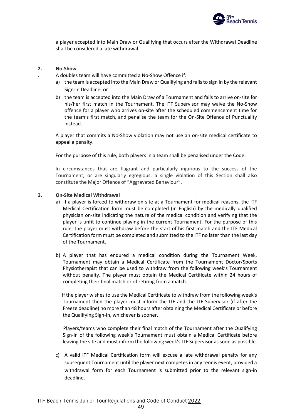

a player accepted into Main Draw or Qualifying that occurs after the Withdrawal Deadline shall be considered a late withdrawal.

### **2. No-Show**

- . A doubles team will have committed a No-Show Offence if:
	- a) the team is accepted into the Main Draw or Qualifying and fails to sign in by the relevant Sign-In Deadline; or
- b) the team is accepted into the Main Draw of a Tournament and fails to arrive on-site for his/her first match in the Tournament. The ITF Supervisor may waive the No-Show offence for a player who arrives on-site after the scheduled commencement time for the team's first match, and penalise the team for the On-Site Offence of Punctuality instead.

A player that commits a No-Show violation may not use an on-site medical certificate to appeal a penalty.

For the purpose of this rule, both players in a team shall be penalised under the Code.

In circumstances that are flagrant and particularly injurious to the success of the Tournament, or are singularly egregious, a single violation of this Section shall also constitute the Major Offence of "Aggravated Behaviour".

### **3. On-Site Medical Withdrawal**

- a) If a player is forced to withdraw on-site at a Tournament for medical reasons, the ITF Medical Certification form must be completed (in English) by the medically qualified physician on-site indicating the nature of the medical condition and verifying that the player is unfit to continue playing in the current Tournament. For the purpose of this rule, the player must withdraw before the start of his first match and the ITF Medical Certification form must be completed and submitted to the ITF no later than the last day of the Tournament.
- b) A player that has endured a medical condition during the Tournament Week, Tournament may obtain a Medical Certificate from the Tournament Doctor/Sports Physiotherapist that can be used to withdraw from the following week's Tournament without penalty. The player must obtain the Medical Certificate within 24 hours of completing their final match or of retiring from a match.

 If the player wishes to use the Medical Certificate to withdraw from the following week's Tournament then the player must inform the ITF and the ITF Supervisor (if after the Freeze deadline) no more than 48 hours after obtaining the Medical Certificate or before the Qualifying Sign-in, whichever is sooner.

 Players/teams who complete their final match of the Tournament after the Qualifying Sign-in of the following week's Tournament must obtain a Medical Certificate before leaving the site and must inform the following week's ITF Supervisor as soon as possible.

c) A valid ITF Medical Certification form will excuse a late withdrawal penalty for any subsequent Tournament until the player next competes in any tennis event, provided a withdrawal form for each Tournament is submitted prior to the relevant sign-in deadline.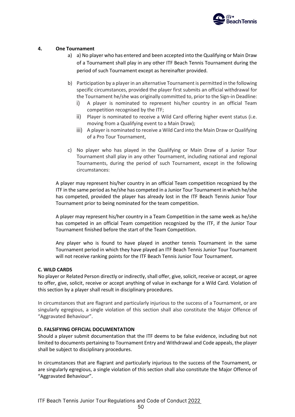

# **4. One Tournament**

- a) a) No player who has entered and been accepted into the Qualifying or Main Draw of a Tournament shall play in any other ITF Beach Tennis Tournament during the period of such Tournament except as hereinafter provided.
- b) Participation by a player in an alternative Tournament is permitted in the following specific circumstances, provided the player first submits an official withdrawal for the Tournament he/she was originally committed to, prior to the Sign-in Deadline:
	- i) A player is nominated to represent his/her country in an official Team competition recognised by the ITF;
	- ii)  $\overline{\phantom{a}}$ Player is nominated to receive a Wild Card offering higher event status (i.e. moving from a Qualifying event to a Main Draw);
	- iii) A player is nominated to receive a Wild Card into the Main Draw or Qualifying of a Pro Tour Tournament,
- c) No player who has played in the Qualifying or Main Draw of a Junior Tour Tournament shall play in any other Tournament, including national and regional Tournaments, during the period of such Tournament, except in the following circumstances:

A player may represent his/her country in an official Team competition recognized by the ITF in the same period as he/she has competed in a Junior Tour Tournament in which he/she has competed, provided the player has already lost in the ITF Beach Tennis Junior Tour Tournament prior to being nominated for the team competition.

A player may represent his/her country in a Team Competition in the same week as he/she has competed in an official Team competition recognized by the ITF, if the Junior Tour Tournament finished before the start of the Team Competition.

Any player who is found to have played in another tennis Tournament in the same Tournament period in which they have played an ITF Beach Tennis Junior Tour Tournament will not receive ranking points for the ITF Beach Tennis Junior Tour Tournament.

# **C. WILD CARDS**

No player or Related Person directly or indirectly, shall offer, give, solicit, receive or accept, or agree to offer, give, solicit, receive or accept anything of value in exchange for a Wild Card. Violation of this section by a player shall result in disciplinary procedures.

In circumstances that are flagrant and particularly injurious to the success of a Tournament, or are singularly egregious, a single violation of this section shall also constitute the Major Offence of "Aggravated Behaviour".

### **D. FALSIFYING OFFICIAL DOCUMENTATION**

Should a player submit documentation that the ITF deems to be false evidence, including but not limited to documents pertaining to Tournament Entry and Withdrawal and Code appeals, the player shall be subject to disciplinary procedures.

In circumstances that are flagrant and particularly injurious to the success of the Tournament, or are singularly egregious, a single violation of this section shall also constitute the Major Offence of "Aggravated Behaviour".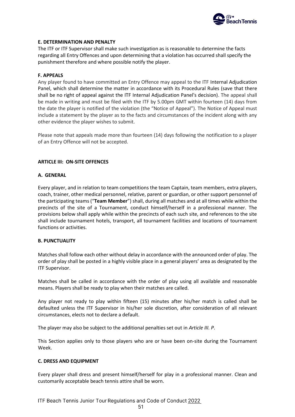

# **E. DETERMINATION AND PENALTY**

The ITF or ITF Supervisor shall make such investigation as is reasonable to determine the facts regarding all Entry Offences and upon determining that a violation has occurred shall specify the punishment therefore and where possible notify the player.

### **F. APPEALS**

Any player found to have committed an Entry Offence may appeal to the ITF Internal Adjudication Panel, which shall determine the matter in accordance with its Procedural Rules (save that there shall be no right of appeal against the ITF Internal Adjudication Panel's decision). The appeal shall be made in writing and must be filed with the ITF by 5.00pm GMT within fourteen (14) days from the date the player is notified of the violation (the "Notice of Appeal"). The Notice of Appeal must include a statement by the player as to the facts and circumstances of the incident along with any other evidence the player wishes to submit.

Please note that appeals made more than fourteen (14) days following the notification to a player of an Entry Offence will not be accepted.

### **ARTICLE III: ON-SITE OFFENCES**

### **A. GENERAL**

Every player, and in relation to team competitions the team Captain, team members, extra players, coach, trainer, other medical personnel, relative, parent or guardian, or other support personnel of the participating teams ("**Team Member**") shall, during all matches and at all times while within the precincts of the site of a Tournament, conduct himself/herself in a professional manner. The provisions below shall apply while within the precincts of each such site, and references to the site shall include tournament hotels, transport, all tournament facilities and locations of tournament functions or activities.

# **B. PUNCTUALITY**

Matches shall follow each other without delay in accordance with the announced order of play. The order of play shall be posted in a highly visible place in a general players' area as designated by the ITF Supervisor.

Matches shall be called in accordance with the order of play using all available and reasonable means. Players shall be ready to play when their matches are called.

Any player not ready to play within fifteen (15) minutes after his/her match is called shall be defaulted unless the ITF Supervisor in his/her sole discretion, after consideration of all relevant circumstances, elects not to declare a default.

The player may also be subject to the additional penalties set out in *Article III. P*.

This Section applies only to those players who are or have been on-site during the Tournament Week.

# **C. DRESS AND EQUIPMENT**

Every player shall dress and present himself/herself for play in a professional manner. Clean and customarily acceptable beach tennis attire shall be worn.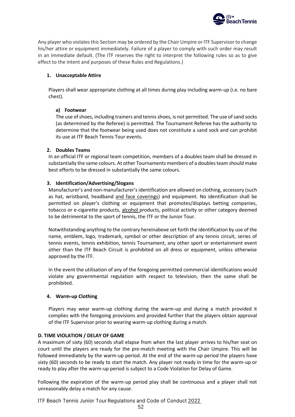

Any player who violates this Section may be ordered by the Chair Umpire or ITF Supervisor to change his/her attire or equipment immediately. Failure of a player to comply with such order may result in an immediate default. (The ITF reserves the right to interpret the following rules so as to give effect to the intent and purposes of these Rules and Regulations.)

# **1. Unacceptable Attire**

Players shall wear appropriate clothing at all times during play including warm-up (i.e. no bare chest).

# **a) Footwear**

The use of shoes, including trainers and tennis shoes, is not permitted. The use of sand socks (as determined by the Referee) is permitted. The Tournament Referee has the authority to determine that the footwear being used does not constitute a sand sock and can prohibit its use at ITF Beach Tennis Tour events.

# **2. Doubles Teams**

In an official ITF or regional team competition, members of a doubles team shall be dressed in substantially the same colours. At other Tournaments members of a doubles team should make best efforts to be dressed in substantially the same colours.

# **3. Identification/Advertising/Slogans**

Manufacturer's and non-manufacturer's identification are allowed on clothing, accessory (such as hat, wristband, headband and face coverings) and equipment. No identification shall be permitted on player's clothing or equipment that promotes/displays betting companies, tobacco or e-cigarette products, alcohol products, political activity or other category deemed to be detrimental to the sport of tennis, the ITF or the Junior Tour.

Notwithstanding anything to the contrary hereinabove set forth the identification by use of the name, emblem, logo, trademark, symbol or other description of any tennis circuit, series of tennis events, tennis exhibition, tennis Tournament, any other sport or entertainment event other than the ITF Beach Circuit is prohibited on all dress or equipment, unless otherwise approved by the ITF.

In the event the utilisation of any of the foregoing permitted commercial identifications would violate any governmental regulation with respect to television, then the same shall be prohibited.

# **4. Warm-up Clothing**

Players may wear warm-up clothing during the warm-up and during a match provided it complies with the foregoing provisions and provided further that the players obtain approval of the ITF Supervisor prior to wearing warm-up clothing during a match.

# **D. TIME VIOLATION / DELAY OF GAME**

A maximum of sixty (60) seconds shall elapse from when the last player arrives to his/her seat on court until the players are ready for the pre-match meeting with the Chair Umpire. This will be followed immediately by the warm-up period. At the end of the warm-up period the players have sixty (60) seconds to be ready to start the match. Any player not ready in time for the warm-up or ready to play after the warm-up period is subject to a Code Violation for Delay of Game.

Following the expiration of the warm-up period play shall be continuous and a player shall not unreasonably delay a match for any cause.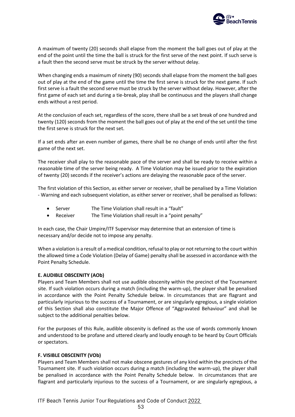

A maximum of twenty (20) seconds shall elapse from the moment the ball goes out of play at the end of the point until the time the ball is struck for the first serve of the next point. If such serve is a fault then the second serve must be struck by the server without delay.

When changing ends a maximum of ninety (90) seconds shall elapse from the moment the ball goes out of play at the end of the game until the time the first serve is struck for the next game. If such first serve is a fault the second serve must be struck by the server without delay. However, after the first game of each set and during a tie-break, play shall be continuous and the players shall change ends without a rest period.

At the conclusion of each set, regardless of the score, there shall be a set break of one hundred and twenty (120) seconds from the moment the ball goes out of play at the end of the set until the time the first serve is struck for the next set.

If a set ends after an even number of games, there shall be no change of ends until after the first game of the next set.

The receiver shall play to the reasonable pace of the server and shall be ready to receive within a reasonable time of the server being ready. A Time Violation may be issued prior to the expiration of twenty (20) seconds if the receiver's actions are delaying the reasonable pace of the server.

The first violation of this Section, as either server or receiver, shall be penalised by a Time Violation - Warning and each subsequent violation, as either server or receiver, shall be penalised as follows:

- Server The Time Violation shall result in a "fault"
- Receiver The Time Violation shall result in a "point penalty"

In each case, the Chair Umpire/ITF Supervisor may determine that an extension of time is necessary and/or decide not to impose any penalty.

When a violation is a result of a medical condition, refusal to play or not returning to the court within the allowed time a Code Violation (Delay of Game) penalty shall be assessed in accordance with the Point Penalty Schedule.

# **E. AUDIBLE OBSCENITY (AOb)**

Players and Team Members shall not use audible obscenity within the precinct of the Tournament site. If such violation occurs during a match (including the warm-up), the player shall be penalised in accordance with the Point Penalty Schedule below. In circumstances that are flagrant and particularly injurious to the success of a Tournament, or are singularly egregious, a single violation of this Section shall also constitute the Major Offence of "Aggravated Behaviour" and shall be subject to the additional penalties below.

For the purposes of this Rule, audible obscenity is defined as the use of words commonly known and understood to be profane and uttered clearly and loudly enough to be heard by Court Officials or spectators.

# **F. VISIBLE OBSCENITY (VOb)**

Players and Team Members shall not make obscene gestures of any kind within the precincts of the Tournament site. If such violation occurs during a match (including the warm-up), the player shall be penalised in accordance with the Point Penalty Schedule below. In circumstances that are flagrant and particularly injurious to the success of a Tournament, or are singularly egregious, a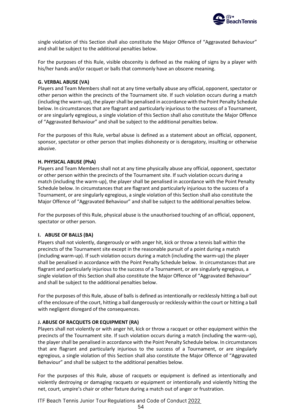

single violation of this Section shall also constitute the Major Offence of "Aggravated Behaviour" and shall be subject to the additional penalties below.

For the purposes of this Rule, visible obscenity is defined as the making of signs by a player with his/her hands and/or racquet or balls that commonly have an obscene meaning.

### **G. VERBAL ABUSE (VA)**

Players and Team Members shall not at any time verbally abuse any official, opponent, spectator or other person within the precincts of the Tournament site. If such violation occurs during a match (including the warm-up), the player shall be penalised in accordance with the Point Penalty Schedule below. In circumstances that are flagrant and particularly injurious to the success of a Tournament, or are singularly egregious, a single violation of this Section shall also constitute the Major Offence of "Aggravated Behaviour" and shall be subject to the additional penalties below.

For the purposes of this Rule, verbal abuse is defined as a statement about an official, opponent, sponsor, spectator or other person that implies dishonesty or is derogatory, insulting or otherwise abusive.

### **H. PHYSICAL ABUSE (PhA)**

Players and Team Members shall not at any time physically abuse any official, opponent, spectator or other person within the precincts of the Tournament site. If such violation occurs during a match (including the warm-up), the player shall be penalised in accordance with the Point Penalty Schedule below. In circumstances that are flagrant and particularly injurious to the success of a Tournament, or are singularly egregious, a single violation of this Section shall also constitute the Major Offence of "Aggravated Behaviour" and shall be subject to the additional penalties below.

For the purposes of this Rule, physical abuse is the unauthorised touching of an official, opponent, spectator or other person.

# **I. ABUSE OF BALLS (BA)**

Players shall not violently, dangerously or with anger hit, kick or throw a tennis ball within the precincts of the Tournament site except in the reasonable pursuit of a point during a match (including warm-up). If such violation occurs during a match (including the warm-up) the player shall be penalised in accordance with the Point Penalty Schedule below. In circumstances that are flagrant and particularly injurious to the success of a Tournament, or are singularly egregious, a single violation of this Section shall also constitute the Major Offence of "Aggravated Behaviour" and shall be subject to the additional penalties below.

For the purposes of this Rule, abuse of balls is defined as intentionally or recklessly hitting a ball out of the enclosure of the court, hitting a ball dangerously or recklessly within the court or hitting a ball with negligent disregard of the consequences.

# **J. ABUSE OF RACQUETS OR EQUIPMENT (RA)**

Players shall not violently or with anger hit, kick or throw a racquet or other equipment within the precincts of the Tournament site. If such violation occurs during a match (including the warm-up), the player shall be penalised in accordance with the Point Penalty Schedule below. In circumstances that are flagrant and particularly injurious to the success of a Tournament, or are singularly egregious, a single violation of this Section shall also constitute the Major Offence of "Aggravated Behaviour" and shall be subject to the additional penalties below.

For the purposes of this Rule, abuse of racquets or equipment is defined as intentionally and violently destroying or damaging racquets or equipment or intentionally and violently hitting the net, court, umpire's chair or other fixture during a match out of anger or frustration.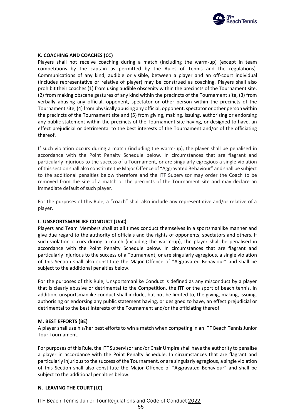

# **K. COACHING AND COACHES (CC)**

Players shall not receive coaching during a match (including the warm-up) (except in team competitions by the captain as permitted by the Rules of Tennis and the regulations). Communications of any kind, audible or visible, between a player and an off-court individual (includes representative or relative of player) may be construed as coaching. Players shall also prohibit their coaches (1) from using audible obscenity within the precincts of the Tournament site, (2) from making obscene gestures of any kind within the precincts of the Tournament site, (3) from verbally abusing any official, opponent, spectator or other person within the precincts of the Tournament site, (4) from physically abusing any official, opponent, spectator or other person within the precincts of the Tournament site and (5) from giving, making, issuing, authorising or endorsing any public statement within the precincts of the Tournament site having, or designed to have, an effect prejudicial or detrimental to the best interests of the Tournament and/or of the officiating thereof.

If such violation occurs during a match (including the warm-up), the player shall be penalised in accordance with the Point Penalty Schedule below. In circumstances that are flagrant and particularly injurious to the success of a Tournament, or are singularly egregious a single violation of this section shall also constitute the Major Offence of "Aggravated Behaviour" and shall be subject to the additional penalties below therefore and the ITF Supervisor may order the Coach to be removed from the site of a match or the precincts of the Tournament site and may declare an immediate default of such player.

For the purposes of this Rule, a "coach" shall also include any representative and/or relative of a player.

### **L. UNSPORTSMANLIKE CONDUCT (UnC)**

Players and Team Members shall at all times conduct themselves in a sportsmanlike manner and give due regard to the authority of officials and the rights of opponents, spectators and others. If such violation occurs during a match (including the warm-up), the player shall be penalised in accordance with the Point Penalty Schedule below. In circumstances that are flagrant and particularly injurious to the success of a Tournament, or are singularly egregious, a single violation of this Section shall also constitute the Major Offence of "Aggravated Behaviour" and shall be subject to the additional penalties below.

For the purposes of this Rule, Unsportsmanlike Conduct is defined as any misconduct by a player that is clearly abusive or detrimental to the Competition, the ITF or the sport of beach tennis. In addition, unsportsmanlike conduct shall include, but not be limited to, the giving, making, issuing, authorising or endorsing any public statement having, or designed to have, an effect prejudicial or detrimental to the best interests of the Tournament and/or the officiating thereof.

### **M. BEST EFFORTS (BE)**

A player shall use his/her best efforts to win a match when competing in an ITF Beach Tennis Junior Tour Tournament.

For purposes of this Rule, the ITF Supervisor and/or Chair Umpire shall have the authority to penalise a player in accordance with the Point Penalty Schedule. In circumstances that are flagrant and particularly injurious to the success of the Tournament, or are singularly egregious, a single violation of this Section shall also constitute the Major Offence of "Aggravated Behaviour" and shall be subject to the additional penalties below.

# **N. LEAVING THE COURT (LC)**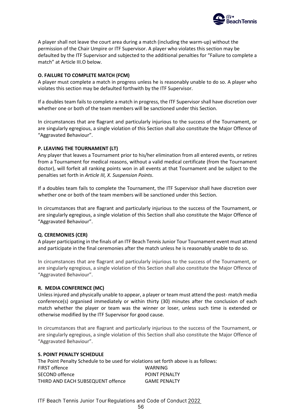

A player shall not leave the court area during a match (including the warm-up) without the permission of the Chair Umpire or ITF Supervisor. A player who violates this section may be defaulted by the ITF Supervisor and subjected to the additional penalties for "Failure to complete a match" at Article III.O below.

# **O. FAILURE TO COMPLETE MATCH (FCM)**

A player must complete a match in progress unless he is reasonably unable to do so. A player who violates this section may be defaulted forthwith by the ITF Supervisor.

If a doubles team fails to complete a match in progress, the ITF Supervisor shall have discretion over whether one or both of the team members will be sanctioned under this Section.

In circumstances that are flagrant and particularly injurious to the success of the Tournament, or are singularly egregious, a single violation of this Section shall also constitute the Major Offence of "Aggravated Behaviour".

# **P. LEAVING THE TOURNAMENT (LT)**

Any player that leaves a Tournament prior to his/her elimination from all entered events, or retires from a Tournament for medical reasons, without a valid medical certificate (from the Tournament doctor), will forfeit all ranking points won in all events at that Tournament and be subject to the penalties set forth in *Article III, X. Suspension Points*.

If a doubles team fails to complete the Tournament, the ITF Supervisor shall have discretion over whether one or both of the team members will be sanctioned under this Section.

In circumstances that are flagrant and particularly injurious to the success of the Tournament, or are singularly egregious, a single violation of this Section shall also constitute the Major Offence of "Aggravated Behaviour".

# **Q. CEREMONIES (CER)**

A player participating in the finals of an ITF Beach Tennis Junior Tour Tournament event must attend and participate in the final ceremonies after the match unless he is reasonably unable to do so.

In circumstances that are flagrant and particularly injurious to the success of the Tournament, or are singularly egregious, a single violation of this Section shall also constitute the Major Offence of "Aggravated Behaviour".

# **R. MEDIA CONFERENCE (MC)**

Unless injured and physically unable to appear, a player or team must attend the post- match media conference(s) organised immediately or within thirty (30) minutes after the conclusion of each match whether the player or team was the winner or loser, unless such time is extended or otherwise modified by the ITF Supervisor for good cause.

In circumstances that are flagrant and particularly injurious to the success of the Tournament, or are singularly egregious, a single violation of this Section shall also constitute the Major Offence of "Aggravated Behaviour".

# **S. POINT PENALTY SCHEDULE**

The Point Penalty Schedule to be used for violations set forth above is as follows: FIRST offence WARNING SECOND offence POINT PENALTY THIRD AND EACH SUBSEQUENT offence GAME PENALTY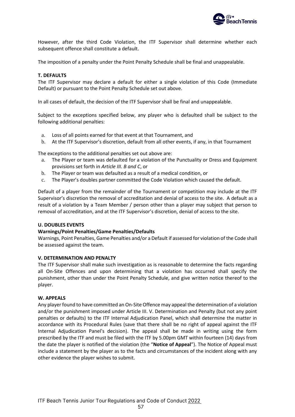

However, after the third Code Violation, the ITF Supervisor shall determine whether each subsequent offence shall constitute a default.

The imposition of a penalty under the Point Penalty Schedule shall be final and unappealable.

### **T. DEFAULTS**

The ITF Supervisor may declare a default for either a single violation of this Code (Immediate Default) or pursuant to the Point Penalty Schedule set out above.

In all cases of default, the decision of the ITF Supervisor shall be final and unappealable.

Subject to the exceptions specified below, any player who is defaulted shall be subject to the following additional penalties:

- a. Loss of all points earned for that event at that Tournament, and
- b. At the ITF Supervisor's discretion, default from all other events, if any, in that Tournament

The exceptions to the additional penalties set out above are:

- a. The Player or team was defaulted for a violation of the Punctuality or Dress and Equipment provisions set forth in *Article III. B and C*, or
- b. The Player or team was defaulted as a result of a medical condition, or
- c. The Player's doubles partner committed the Code Violation which caused the default.

Default of a player from the remainder of the Tournament or competition may include at the ITF Supervisor's discretion the removal of accreditation and denial of access to the site. A default as a result of a violation by a Team Member / person other than a player may subject that person to removal of accreditation, and at the ITF Supervisor's discretion, denial of access to the site.

### **U. DOUBLES EVENTS**

### **Warnings/Point Penalties/Game Penalties/Defaults**

Warnings, Point Penalties, Game Penalties and/or a Default if assessed for violation of the Code shall be assessed against the team.

### **V. DETERMINATION AND PENALTY**

The ITF Supervisor shall make such investigation as is reasonable to determine the facts regarding all On-Site Offences and upon determining that a violation has occurred shall specify the punishment, other than under the Point Penalty Schedule, and give written notice thereof to the player.

### **W. APPEALS**

Any player found to have committed an On-Site Offence may appeal the determination of a violation and/or the punishment imposed under Article III. V. Determination and Penalty (but not any point penalties or defaults) to the ITF Internal Adjudication Panel, which shall determine the matter in accordance with its Procedural Rules (save that there shall be no right of appeal against the ITF Internal Adjudication Panel's decision). The appeal shall be made in writing using the form prescribed by the ITF and must be filed with the ITF by 5.00pm GMT within fourteen (14) days from the date the player is notified of the violation (the "**Notice of Appeal**"). The Notice of Appeal must include a statement by the player as to the facts and circumstances of the incident along with any other evidence the player wishes to submit.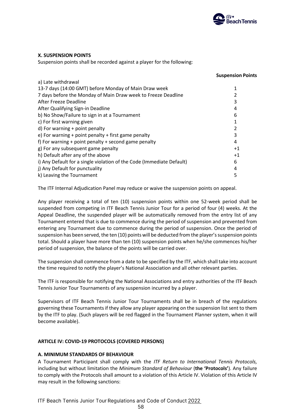

# **X. SUSPENSION POINTS**

Suspension points shall be recorded against a player for the following:

|                                                                       | <b>Suspension Points</b> |
|-----------------------------------------------------------------------|--------------------------|
| a) Late withdrawal                                                    |                          |
| 13-7 days (14:00 GMT) before Monday of Main Draw week                 | 1                        |
| 7 days before the Monday of Main Draw week to Freeze Deadline         | 2                        |
| After Freeze Deadline                                                 | 3                        |
| After Qualifying Sign-in Deadline                                     | 4                        |
| b) No Show/Failure to sign in at a Tournament                         | 6                        |
| c) For first warning given                                            |                          |
| $d$ ) For warning + point penalty                                     | 2                        |
| e) For warning + point penalty + first game penalty                   | 3                        |
| f) For warning $+$ point penalty $+$ second game penalty              | 4                        |
| g) For any subsequent game penalty                                    | $+1$                     |
| h) Default after any of the above                                     | $+1$                     |
| i) Any Default for a single violation of the Code (Immediate Default) | 6                        |
| j) Any Default for punctuality                                        | 4                        |
| k) Leaving the Tournament                                             | 5                        |
|                                                                       |                          |

The ITF Internal Adjudication Panel may reduce or waive the suspension points on appeal.

Any player receiving a total of ten (10) suspension points within one 52-week period shall be suspended from competing in ITF Beach Tennis Junior Tour for a period of four (4) weeks. At the Appeal Deadline, the suspended player will be automatically removed from the entry list of any Tournament entered that is due to commence during the period of suspension and prevented from entering any Tournament due to commence during the period of suspension. Once the period of suspension has been served, the ten (10) points will be deducted from the player's suspension points total. Should a player have more than ten (10) suspension points when he/she commences his/her period of suspension, the balance of the points will be carried over.

The suspension shall commence from a date to be specified by the ITF, which shall take into account the time required to notify the player's National Association and all other relevant parties.

The ITF is responsible for notifying the National Associations and entry authorities of the ITF Beach Tennis Junior Tour Tournaments of any suspension incurred by a player.

Supervisors of ITF Beach Tennis Junior Tour Tournaments shall be in breach of the regulations governing these Tournaments if they allow any player appearing on the suspension list sent to them by the ITF to play. (Such players will be red flagged in the Tournament Planner system, when it will become available).

# **ARTICLE IV: COVID-19 PROTOCOLS (COVERED PERSONS)**

# **A. MINIMUM STANDARDS OF BEHAVIOUR**

A Tournament Participant shall comply with the *ITF Return to International Tennis Protocols,*  including but without limitation the *Minimum Standard of Behaviour* (**the 'Protocols'**). Any failure to comply with the Protocols shall amount to a violation of this Article IV. Violation of this Article IV may result in the following sanctions: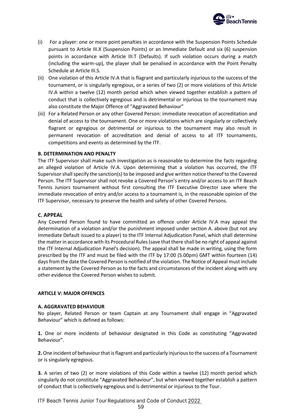

- (i) For a player: one or more point penalties in accordance with the Suspension Points Schedule pursuant to Article III.X (Suspension Points) or an Immediate Default and six (6) suspension points in accordance with Article III.T (Defaults). If such violation occurs during a match (including the warm-up), the player shall be penalised in accordance with the Point Penalty Schedule at Article III.S.
- (ii) One violation of this Article IV.A that is flagrant and particularly injurious to the success of the tournament, or is singularly egregious, or a series of two (2) or more violations of this Article IV.A within a twelve (12) month period which when viewed together establish a pattern of conduct that is collectively egregious and is detrimental or injurious to the tournament may also constitute the Major Offence of "Aggravated Behaviour"
- (iii) For a Related Person or any other Covered Person: immediate revocation of accreditation and denial of access to the tournament. One or more violations which are singularly or collectively flagrant or egregious or detrimental or injurious to the tournament may also result in permanent revocation of accreditation and denial of access to all ITF tournaments, competitions and events as determined by the ITF.

### **B. DETERMINATION AND PENALTY**

The ITF Supervisor shall make such investigation as is reasonable to determine the facts regarding an alleged violation of Article IV.A. Upon determining that a violation has occurred, the ITF Supervisor shall specify the sanction(s) to be imposed and give written notice thereof to the Covered Person. The ITF Supervisor shall not revoke a Covered Person's entry and/or access to an ITF Beach Tennis Juniors tournament without first consulting the ITF Executive Director save where the immediate revocation of entry and/or access to a tournament is, in the reasonable opinion of the ITF Supervisor, necessary to preserve the health and safety of other Covered Persons.

### **C. APPEAL**

Any Covered Person found to have committed an offence under Article IV.A may appeal the determination of a violation and/or the punishment imposed under section A. above (but not any Immediate Default issued to a player) to the ITF Internal Adjudication Panel, which shall determine the matter in accordance with its Procedural Rules (save that there shall be no right of appeal against the ITF Internal Adjudication Panel's decision). The appeal shall be made in writing, using the form prescribed by the ITF and must be filed with the ITF by 17:00 (5.00pm) GMT within fourteen (14) days from the date the Covered Person is notified of the violation. The Notice of Appeal must include a statement by the Covered Person as to the facts and circumstances of the incident along with any other evidence the Covered Person wishes to submit.

# **ARTICLE V: MAJOR OFFENCES**

### **A. AGGRAVATED BEHAVIOUR**

No player, Related Person or team Captain at any Tournament shall engage in "Aggravated Behaviour" which is defined as follows:

**1.** One or more incidents of behaviour designated in this Code as constituting "Aggravated Behaviour".

**2.** One incident of behaviour that is flagrant and particularly injurious to the success of a Tournament or is singularly egregious.

**3.** A series of two (2) or more violations of this Code within a twelve (12) month period which singularly do not constitute "Aggravated Behaviour", but when viewed together establish a pattern of conduct that is collectively egregious and is detrimental or injurious to the Tour.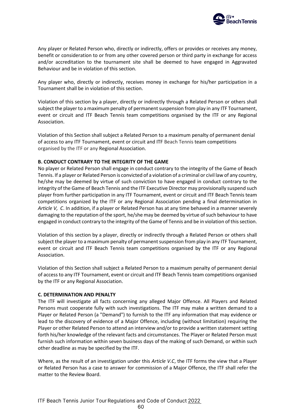

Any player or Related Person who, directly or indirectly, offers or provides or receives any money, benefit or consideration to or from any other covered person or third party in exchange for access and/or accreditation to the tournament site shall be deemed to have engaged in Aggravated Behaviour and be in violation of this section.

Any player who, directly or indirectly, receives money in exchange for his/her participation in a Tournament shall be in violation of this section.

Violation of this section by a player, directly or indirectly through a Related Person or others shall subject the player to a maximum penalty of permanent suspension from play in any ITF Tournament, event or circuit and ITF Beach Tennis team competitions organised by the ITF or any Regional Association.

Violation of this Section shall subject a Related Person to a maximum penalty of permanent denial of access to any ITF Tournament, event or circuit and ITF Beach Tennis team competitions organised by the ITF or any Regional Association.

### **B. CONDUCT CONTRARY TO THE INTEGRITY OF THE GAME**

No player or Related Person shall engage in conduct contrary to the integrity of the Game of Beach Tennis. If a player or Related Person is convicted of a violation of a criminal or civil law of any country, he/she may be deemed by virtue of such conviction to have engaged in conduct contrary to the integrity of the Game of Beach Tennis and the ITF Executive Director may provisionally suspend such player from further participation in any ITF Tournament, event or circuit and ITF Beach Tennis team competitions organized by the ITF or any Regional Association pending a final determination in *Article V, C*. In addition, if a player or Related Person has at any time behaved in a manner severely damaging to the reputation of the sport, he/she may be deemed by virtue of such behaviour to have engaged in conduct contrary to the integrity of the Game of Tennis and be in violation of this section.

Violation of this section by a player, directly or indirectly through a Related Person or others shall subject the player to a maximum penalty of permanent suspension from play in any ITF Tournament, event or circuit and ITF Beach Tennis team competitions organised by the ITF or any Regional Association.

Violation of this Section shall subject a Related Person to a maximum penalty of permanent denial of access to any ITF Tournament, event or circuit and ITF Beach Tennis team competitions organised by the ITF or any Regional Association.

### **C. DETERMINATION AND PENALTY**

The ITF will investigate all facts concerning any alleged Major Offence. All Players and Related Persons must cooperate fully with such investigations. The ITF may make a written demand to a Player or Related Person (a "Demand") to furnish to the ITF any information that may evidence or lead to the discovery of evidence of a Major Offence, including (without limitation) requiring the Player or other Related Person to attend an interview and/or to provide a written statement setting forth his/her knowledge of the relevant facts and circumstances. The Player or Related Person must furnish such information within seven business days of the making of such Demand, or within such other deadline as may be specified by the ITF.

Where, as the result of an investigation under this *Article V.C*, the ITF forms the view that a Player or Related Person has a case to answer for commission of a Major Offence, the ITF shall refer the matter to the Review Board.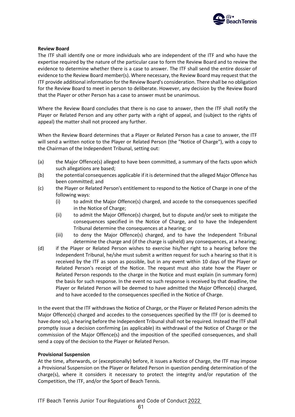

### **Review Board**

The ITF shall identify one or more individuals who are independent of the ITF and who have the expertise required by the nature of the particular case to form the Review Board and to review the evidence to determine whether there is a case to answer. The ITF shall send the entire dossier of evidence to the Review Board member(s). Where necessary, the Review Board may request that the ITF provide additional information for the Review Board's consideration. There shall be no obligation for the Review Board to meet in person to deliberate. However, any decision by the Review Board that the Player or other Person has a case to answer must be unanimous.

Where the Review Board concludes that there is no case to answer, then the ITF shall notify the Player or Related Person and any other party with a right of appeal, and (subject to the rights of appeal) the matter shall not proceed any further.

When the Review Board determines that a Player or Related Person has a case to answer, the ITF will send a written notice to the Player or Related Person (the "Notice of Charge"), with a copy to the Chairman of the Independent Tribunal, setting out:

- (a) the Major Offence(s) alleged to have been committed, a summary of the facts upon which such allegations are based;
- (b) the potential consequences applicable if it is determined that the alleged Major Offence has been committed; and
- (c) the Player or Related Person's entitlement to respond to the Notice of Charge in one of the following ways:
	- (i) to admit the Major Offence(s) charged, and accede to the consequences specified in the Notice of Charge;
	- (ii) to admit the Major Offence(s) charged, but to dispute and/or seek to mitigate the consequences specified in the Notice of Charge, and to have the Independent Tribunal determine the consequences at a hearing; or
	- (iii) to deny the Major Offence(s) charged, and to have the Independent Tribunal determine the charge and (if the charge is upheld) any consequences, at a hearing;
- (d) if the Player or Related Person wishes to exercise his/her right to a hearing before the Independent Tribunal, he/she must submit a written request for such a hearing so that it is received by the ITF as soon as possible, but in any event within 10 days of the Player or Related Person's receipt of the Notice. The request must also state how the Player or Related Person responds to the charge in the Notice and must explain (in summary form) the basis for such response. In the event no such response is received by that deadline, the Player or Related Person will be deemed to have admitted the Major Offence(s) charged, and to have acceded to the consequences specified in the Notice of Charge.

In the event that the ITF withdraws the Notice of Charge, or the Player or Related Person admits the Major Offence(s) charged and accedes to the consequences specified by the ITF (or is deemed to have done so), a hearing before the Independent Tribunal shall not be required. Instead the ITF shall promptly issue a decision confirming (as applicable) its withdrawal of the Notice of Charge or the commission of the Major Offence(s) and the imposition of the specified consequences, and shall send a copy of the decision to the Player or Related Person.

# **Provisional Suspension**

At the time, afterwards, or (exceptionally) before, it issues a Notice of Charge, the ITF may impose a Provisional Suspension on the Player or Related Person in question pending determination of the charge(s), where it considers it necessary to protect the integrity and/or reputation of the Competition, the ITF, and/or the Sport of Beach Tennis.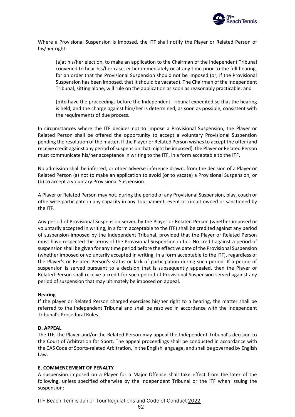

Where a Provisional Suspension is imposed, the ITF shall notify the Player or Related Person of his/her right:

(a)at his/her election, to make an application to the Chairman of the Independent Tribunal convened to hear his/her case, either immediately or at any time prior to the full hearing, for an order that the Provisional Suspension should not be imposed (or, if the Provisional Suspension has been imposed, that it should be vacated). The Chairman of the Independent Tribunal, sitting alone, will rule on the application as soon as reasonably practicable; and

(b)to have the proceedings before the Independent Tribunal expedited so that the hearing is held, and the charge against him/her is determined, as soon as possible, consistent with the requirements of due process.

In circumstances where the ITF decides not to impose a Provisional Suspension, the Player or Related Person shall be offered the opportunity to accept a voluntary Provisional Suspension pending the resolution of the matter. If the Player or Related Person wishes to accept the offer (and receive credit against any period of suspension that might be imposed), the Player or Related Person must communicate his/her acceptance in writing to the ITF, in a form acceptable to the ITF.

No admission shall be inferred, or other adverse inference drawn, from the decision of a Player or Related Person (a) not to make an application to avoid (or to vacate) a Provisional Suspension, or (b) to accept a voluntary Provisional Suspension.

A Player or Related Person may not, during the period of any Provisional Suspension, play, coach or otherwise participate in any capacity in any Tournament, event or circuit owned or sanctioned by the ITF.

Any period of Provisional Suspension served by the Player or Related Person (whether imposed or voluntarily accepted in writing, in a form acceptable to the ITF) shall be credited against any period of suspension imposed by the Independent Tribunal, provided that the Player or Related Person must have respected the terms of the Provisional Suspension in full. No credit against a period of suspension shall be given for any time period before the effective date of the Provisional Suspension (whether imposed or voluntarily accepted in writing, in a form acceptable to the ITF), regardless of the Player's or Related Person's status or lack of participation during such period. If a period of suspension is served pursuant to a decision that is subsequently appealed, then the Player or Related Person shall receive a credit for such period of Provisional Suspension served against any period of suspension that may ultimately be imposed on appeal.

# **Hearing**

If the player or Related Person charged exercises his/her right to a hearing, the matter shall be referred to the Independent Tribunal and shall be resolved in accordance with the Independent Tribunal's Procedural Rules.

### **D. APPEAL**

The ITF, the Player and/or the Related Person may appeal the Independent Tribunal's decision to the Court of Arbitration for Sport. The appeal proceedings shall be conducted in accordance with the CAS Code of Sports-related Arbitration, in the English language, and shall be governed by English Law.

### **E. COMMENCEMENT OF PENALTY**

A suspension imposed on a Player for a Major Offence shall take effect from the later of the following, unless specified otherwise by the Independent Tribunal or the ITF when issuing the suspension: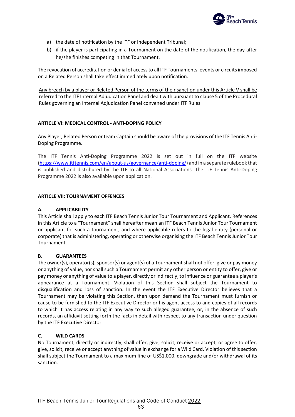

- a) the date of notification by the ITF or Independent Tribunal;
- b) if the player is participating in a Tournament on the date of the notification, the day after he/she finishes competing in that Tournament.

The revocation of accreditation or denial of access to all ITF Tournaments, events or circuits imposed on a Related Person shall take effect immediately upon notification.

Any breach by a player or Related Person of the terms of their sanction under this Article V shall be referred to the ITF Internal Adjudication Panel and dealt with pursuant to clause 5 of the Procedural Rules governing an Internal Adjudication Panel convened under ITF Rules.

# **ARTICLE VI: MEDICAL CONTROL - ANTI-DOPING POLICY**

Any Player, Related Person or team Captain should be aware of the provisions of the ITF Tennis Anti-Doping Programme.

The ITF Tennis Anti-Doping Programme 2022 is set out in full on the ITF website [\(https://www.itftennis.com/en/about-us/governance/anti-doping/\)](https://www.itftennis.com/en/about-us/governance/anti-doping/) and in a separate rulebook that is published and distributed by the ITF to all National Associations. The ITF Tennis Anti-Doping Programme 2022 is also available upon application.

# **ARTICLE VII: TOURNAMENT OFFENCES**

# **A. APPLICABILITY**

This Article shall apply to each ITF Beach Tennis Junior Tour Tournament and Applicant. References in this Article to a "Tournament" shall hereafter mean an ITF Beach Tennis Junior Tour Tournament or applicant for such a tournament, and where applicable refers to the legal entity (personal or corporate) that is administering, operating or otherwise organising the ITF Beach Tennis Junior Tour Tournament.

# **B. GUARANTEES**

The owner(s), operator(s), sponsor(s) or agent(s) of a Tournament shall not offer, give or pay money or anything of value, nor shall such a Tournament permit any other person or entity to offer, give or pay money or anything of value to a player, directly or indirectly, to influence or guarantee a player's appearance at a Tournament. Violation of this Section shall subject the Tournament to disqualification and loss of sanction. In the event the ITF Executive Director believes that a Tournament may be violating this Section, then upon demand the Tournament must furnish or cause to be furnished to the ITF Executive Director or his agent access to and copies of all records to which it has access relating in any way to such alleged guarantee, or, in the absence of such records, an affidavit setting forth the facts in detail with respect to any transaction under question by the ITF Executive Director.

# **C. WILD CARDS**

No Tournament, directly or indirectly, shall offer, give, solicit, receive or accept, or agree to offer, give, solicit, receive or accept anything of value in exchange for a Wild Card. Violation of this section shall subject the Tournament to a maximum fine of US\$1,000, downgrade and/or withdrawal of its sanction.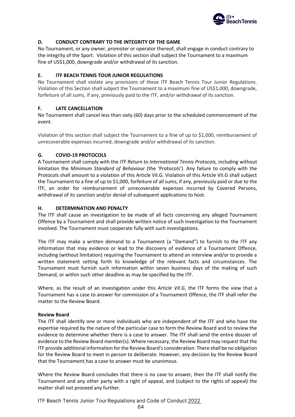

# **D. CONDUCT CONTRARY TO THE INTEGRITY OF THE GAME**

No Tournament, or any owner, promoter or operator thereof, shall engage in conduct contrary to the integrity of the Sport. Violation of this section shall subject the Tournament to a maximum fine of US\$1,000, downgrade and/or withdrawal of its sanction.

# **E. ITF BEACH TENNIS TOUR JUNIOR REGULATIONS**

No Tournament shall violate any provisions of these ITF Beach Tennis Tour Junior Regulations. Violation of this Section shall subject the Tournament to a maximum fine of US\$1,000, downgrade, forfeiture of all sums, if any, previously paid to the ITF, and/or withdrawal of its sanction.

# **F. LATE CANCELLATION**

No Tournament shall cancel less than sixty (60) days prior to the scheduled commencement of the event.

Violation of this section shall subject the Tournament to a fine of up to \$1,000, reimbursement of unrecoverable expenses incurred, downgrade and/or withdrawal of its sanction.

# **G. COVID-19 PROTOCOLS**

A Tournament shall comply with the *ITF Return to International Tennis Protocols,* including without limitation the *Minimum Standard of Behaviour* (the 'Protocols'). Any failure to comply with the Protocols shall amount to a violation of this Article VII.G. Violation of this Article VII.G shall subject the Tournament to a fine of up to \$1,000, forfeiture of all sums, if any, previously paid or due to the ITF, an order for reimbursement of unrecoverable expenses incurred by Covered Persons, withdrawal of its sanction and/or denial of subsequent applications to host.

# **H. DETERMINATION AND PENALTY**

The ITF shall cause an investigation to be made of all facts concerning any alleged Tournament Offence by a Tournament and shall provide written notice of such investigation to the Tournament involved. The Tournament must cooperate fully with such investigations.

The ITF may make a written demand to a Tournament (a "Demand") to furnish to the ITF any information that may evidence or lead to the discovery of evidence of a Tournament Offence, including (without limitation) requiring the Tournament to attend an interview and/or to provide a written statement setting forth its knowledge of the relevant facts and circumstances. The Tournament must furnish such information within seven business days of the making of such Demand, or within such other deadline as may be specified by the ITF.

Where, as the result of an investigation under this *Article VII.G*, the ITF forms the view that a Tournament has a case to answer for commission of a Tournament Offence, the ITF shall refer the matter to the Review Board.

# **Review Board**

The ITF shall identify one or more individuals who are independent of the ITF and who have the expertise required by the nature of the particular case to form the Review Board and to review the evidence to determine whether there is a case to answer. The ITF shall send the entire dossier of evidence to the Review Board member(s). Where necessary, the Review Board may request that the ITF provide additional information for the Review Board's consideration. There shall be no obligation for the Review Board to meet in person to deliberate. However, any decision by the Review Board that the Tournament has a case to answer must be unanimous.

Where the Review Board concludes that there is no case to answer, then the ITF shall notify the Tournament and any other party with a right of appeal, and (subject to the rights of appeal) the matter shall not proceed any further.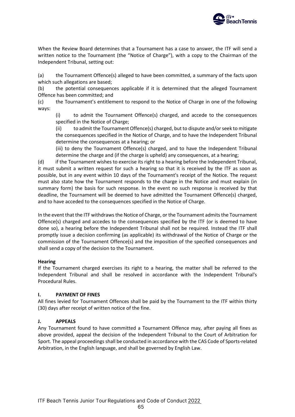

When the Review Board determines that a Tournament has a case to answer, the ITF will send a written notice to the Tournament (the "Notice of Charge"), with a copy to the Chairman of the Independent Tribunal, setting out:

(a) the Tournament Offence(s) alleged to have been committed, a summary of the facts upon which such allegations are based;

(b) the potential consequences applicable if it is determined that the alleged Tournament Offence has been committed; and

(c) the Tournament's entitlement to respond to the Notice of Charge in one of the following ways:

(i) to admit the Tournament Offence(s) charged, and accede to the consequences specified in the Notice of Charge;

(ii) to admit the Tournament Offence(s) charged, but to dispute and/or seek to mitigate the consequences specified in the Notice of Charge, and to have the Independent Tribunal determine the consequences at a hearing; or

(iii) to deny the Tournament Offence(s) charged, and to have the Independent Tribunal determine the charge and (if the charge is upheld) any consequences, at a hearing;

(d) if the Tournament wishes to exercise its right to a hearing before the Independent Tribunal, it must submit a written request for such a hearing so that it is received by the ITF as soon as possible, but in any event within 10 days of the Tournament's receipt of the Notice. The request must also state how the Tournament responds to the charge in the Notice and must explain (in summary form) the basis for such response. In the event no such response is received by that deadline, the Tournament will be deemed to have admitted the Tournament Offence(s) charged, and to have acceded to the consequences specified in the Notice of Charge.

In the event that the ITF withdraws the Notice of Charge, or the Tournament admits the Tournament Offence(s) charged and accedes to the consequences specified by the ITF (or is deemed to have done so), a hearing before the Independent Tribunal shall not be required. Instead the ITF shall promptly issue a decision confirming (as applicable) its withdrawal of the Notice of Charge or the commission of the Tournament Offence(s) and the imposition of the specified consequences and shall send a copy of the decision to the Tournament.

# **Hearing**

If the Tournament charged exercises its right to a hearing, the matter shall be referred to the Independent Tribunal and shall be resolved in accordance with the Independent Tribunal's Procedural Rules.

# **I. PAYMENT OF FINES**

All fines levied for Tournament Offences shall be paid by the Tournament to the ITF within thirty (30) days after receipt of written notice of the fine.

# **J. APPEALS**

Any Tournament found to have committed a Tournament Offence may, after paying all fines as above provided, appeal the decision of the Independent Tribunal to the Court of Arbitration for Sport. The appeal proceedings shall be conducted in accordance with the CAS Code of Sports-related Arbitration, in the English language, and shall be governed by English Law.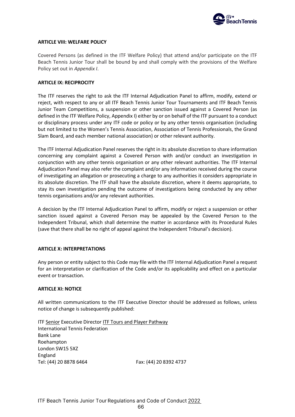

### **ARTICLE VIII: WELFARE POLICY**

Covered Persons (as defined in the ITF Welfare Policy) that attend and/or participate on the ITF Beach Tennis Junior Tour shall be bound by and shall comply with the provisions of the Welfare Policy set out in *Appendix I*.

### **ARTICLE IX: RECIPROCITY**

The ITF reserves the right to ask the ITF Internal Adjudication Panel to affirm, modify, extend or reject, with respect to any or all ITF Beach Tennis Junior Tour Tournaments and ITF Beach Tennis Junior Team Competitions, a suspension or other sanction issued against a Covered Person (as defined in the ITF Welfare Policy, Appendix I) either by or on behalf of the ITF pursuant to a conduct or disciplinary process under any ITF code or policy or by any other tennis organisation (including but not limited to the Women's Tennis Association, Association of Tennis Professionals, the Grand Slam Board, and each member national association) or other relevant authority.

The ITF Internal Adjudication Panel reserves the right in its absolute discretion to share information concerning any complaint against a Covered Person with and/or conduct an investigation in conjunction with any other tennis organisation or any other relevant authorities. The ITF Internal Adjudication Panel may also refer the complaint and/or any information received during the course of investigating an allegation or prosecuting a charge to any authorities it considers appropriate in its absolute discretion. The ITF shall have the absolute discretion, where it deems appropriate, to stay its own investigation pending the outcome of investigations being conducted by any other tennis organisations and/or any relevant authorities.

A decision by the ITF Internal Adjudication Panel to affirm, modify or reject a suspension or other sanction issued against a Covered Person may be appealed by the Covered Person to the Independent Tribunal, which shall determine the matter in accordance with its Procedural Rules (save that there shall be no right of appeal against the Independent Tribunal's decision).

### **ARTICLE X: INTERPRETATIONS**

Any person or entity subject to this Code may file with the ITF Internal Adjudication Panel a request for an interpretation or clarification of the Code and/or its applicability and effect on a particular event or transaction.

### **ARTICLE XI: NOTICE**

All written communications to the ITF Executive Director should be addressed as follows, unless notice of change is subsequently published:

ITF Senior Executive Director ITF Tours and Player Pathway International Tennis Federation Bank Lane Roehampton London SW15 5XZ England Tel: (44) 20 8878 6464 Fax: (44) 20 8392 4737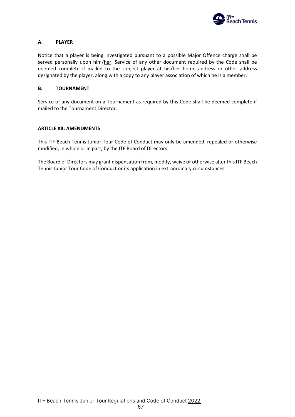

# **A. PLAYER**

Notice that a player is being investigated pursuant to a possible Major Offence charge shall be served personally upon him/her. Service of any other document required by the Code shall be deemed complete if mailed to the subject player at his/her home address or other address designated by the player, along with a copy to any player association of which he is a member.

### **B. TOURNAMENT**

Service of any document on a Tournament as required by this Code shall be deemed complete if mailed to the Tournament Director.

### **ARTICLE XII: AMENDMENTS**

This ITF Beach Tennis Junior Tour Code of Conduct may only be amended, repealed or otherwise modified, in whole or in part, by the ITF Board of Directors.

The Board of Directors may grant dispensation from, modify, waive or otherwise alter this ITF Beach Tennis Junior Tour Code of Conduct or its application in extraordinary circumstances.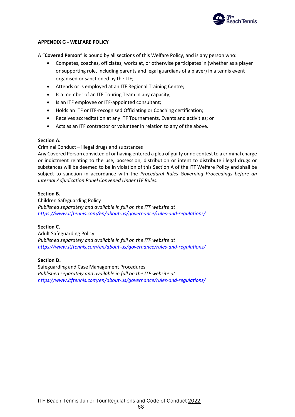

# **APPENDIX G - WELFARE POLICY**

A "**Covered Person**" is bound by all sections of this Welfare Policy, and is any person who:

- Competes, coaches, officiates, works at, or otherwise participates in (whether as a player or supporting role, including parents and legal guardians of a player) in a tennis event organised or sanctioned by the ITF;
- Attends or is employed at an ITF Regional Training Centre;
- Is a member of an ITF Touring Team in any capacity;
- Is an ITF employee or ITF-appointed consultant;
- Holds an ITF or ITF-recognised Officiating or Coaching certification;
- Receives accreditation at any ITF Tournaments, Events and activities; or
- Acts as an ITF contractor or volunteer in relation to any of the above.

# **Section A.**

Criminal Conduct – illegal drugs and substances

Any Covered Person convicted of or having entered a plea of guilty or no contest to a criminal charge or indictment relating to the use, possession, distribution or intent to distribute illegal drugs or substances will be deemed to be in violation of this Section A of the ITF Welfare Policy and shall be subject to sanction in accordance with the *Procedural Rules Governing Proceedings before an Internal Adjudication Panel Convened Under ITF Rules.*

# **Section B.**

Children Safeguarding Policy *Published separately and available in full on the ITF website at <https://www.itftennis.com/en/about-us/governance/rules-and-regulations/>*

# **Section C.**

Adult Safeguarding Policy *Published separately and available in full on the ITF website at <https://www.itftennis.com/en/about-us/governance/rules-and-regulations/>*

# **Section D.**

Safeguarding and Case Management Procedures *Published separately and available in full on the ITF website at <https://www.itftennis.com/en/about-us/governance/rules-and-regulations/>*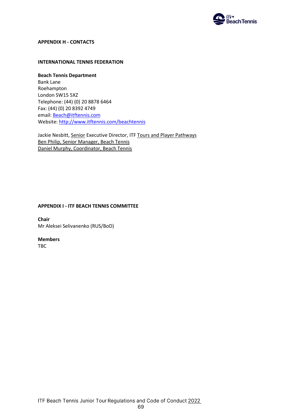

# **APPENDIX H - CONTACTS**

### **INTERNATIONAL TENNIS FEDERATION**

**Beach Tennis Department**  Bank Lane Roehampton London SW15 5XZ Telephone: (44) (0) 20 8878 6464 Fax: (44) (0) 20 8392 4749 email[: Beach@itftennis.com](mailto:Beach@itftennis.com) Website:<http://www.itftennis.com/beachtennis>

Jackie Nesbitt, Senior Executive Director, ITF Tours and Player Pathways Ben Philip, Senior Manager, Beach Tennis Daniel Murphy, Coordinator, Beach Tennis

# **APPENDIX I - ITF BEACH TENNIS COMMITTEE**

**Chair** Mr Aleksei Selivanenko (RUS/BoD)

# **Members**

TBC